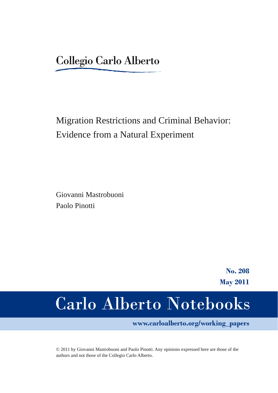# **Collegio Carlo Alberto**

# Migration Restrictions and Criminal Behavior: Evidence from a Natural Experiment

Giovanni Mastrobuoni Paolo Pinotti

> **No. 208 May 2011**

# **Carlo Alberto Notebooks**

**www.carloalberto.org/working\_papers**

© 2011 by Giovanni Mastrobuoni and Paolo Pinotti. Any opinions expressed here are those of the authors and not those of the Collegio Carlo Alberto.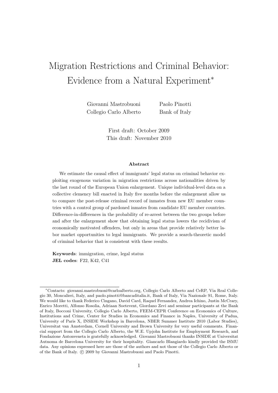# Migration Restrictions and Criminal Behavior: Evidence from a Natural Experiment<sup>∗</sup>

Giovanni Mastrobuoni Collegio Carlo Alberto Paolo Pinotti Bank of Italy

First draft: October 2009 This draft: November 2010

#### Abstract

We estimate the causal effect of immigrants' legal status on criminal behavior exploiting exogenous variation in migration restrictions across nationalities driven by the last round of the European Union enlargement. Unique individual-level data on a collective clemency bill enacted in Italy five months before the enlargement allow us to compare the post-release criminal record of inmates from new EU member countries with a control group of pardoned inmates from candidate EU member countries. Difference-in-differences in the probability of re-arrest between the two groups before and after the enlargement show that obtaining legal status lowers the recidivism of economically motivated offenders, but only in areas that provide relatively better labor market opportunities to legal immigrants. We provide a search-theoretic model of criminal behavior that is consistent with these results.

Keywords: immigration, crime, legal status JEL codes: F22, K42, C41

<sup>∗</sup>Contacts: giovanni.mastrobuoni@carloalberto.org, Collegio Carlo Alberto and CeRP, Via Real Collegio 30, Moncalieri, Italy, and paolo.pinotti@bancaditalia.it, Bank of Italy, Via Nazionale 91, Rome, Italy. We would like to thank Federico Cingano, David Card, Raquel Fernandez, Andrea Ichino, Justin McCrary, Enrico Moretti, Alfonso Rosolia, Adriaan Soetevent, Giordano Zevi and seminar participants at the Bank of Italy, Bocconi University, Collegio Carlo Alberto, FEEM-CEPR Conference on Economics of Culture, Institutions and Crime, Center for Studies in Economics and Finance in Naples, University of Padua, University of Paris X, INSIDE Workshop in Barcelona, NBER Summer Institute 2010 (Labor Studies), Universitat van Amsterdam, Cornell University and Brown University for very useful comments. Financial support from the Collegio Carlo Alberto, the W.E. Upjohn Institute for Employment Research, and Fondazione Antonveneta is gratefully acknowledged. Giovanni Mastrobuoni thanks INSIDE at Universitat Autnoma de Barcelona University for their hospitality. Giancarlo Blangiardo kindly provided the ISMU data. Any opinions expressed here are those of the authors and not those of the Collegio Carlo Alberto or of the Bank of Italy. © 2009 by Giovanni Mastrobuoni and Paolo Pinotti.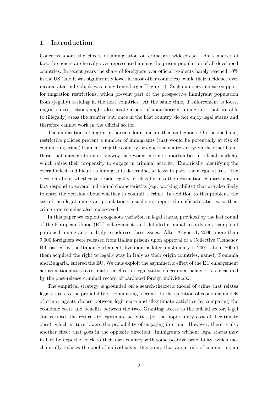# 1 Introduction

Concerns about the effects of immigration on crime are widespread. As a matter of fact, foreigners are heavily over-represented among the prison population of all developed countries. In recent years the share of foreigners over official residents barely reached 10% in the US (and it was significantly lower in most other countries), while their incidence over incarcerated individuals was many times larger (Figure 1). Such numbers increase support for migration restrictions, which prevent part of the prospective immigrant population from (legally) residing in the host countries. At the same time, if enforcement is loose, migration restrictions might also create a pool of unauthorized immigrants that are able to (illegally) cross the frontier but, once in the host country, do not enjoy legal status and therefore cannot work in the official sector.

The implications of migration barriers for crime are then ambiguous. On the one hand, restrictive policies prevent a number of immigrants (that would be potentially at risk of committing crime) from entering the country, or expel them after entry; on the other hand, those that manage to enter anyway face worse income opportunities in official markets, which raises their propensity to engage in criminal activity. Empirically identifying the overall effect is difficult as immigrants determine, at least in part, their legal status. The decision about whether to reside legally or illegally into the destination country may in fact respond to several individual characteristics (e.g. working ability) that are also likely to enter the decision about whether to commit a crime. In addition to this problem, the size of the illegal immigrant population is usually not reported in official statistics, so their crime rate remains also unobserved.

In this paper we exploit exogenous variation in legal status, provided by the last round of the European Union (EU) enlargement, and detailed criminal records on a sample of pardoned immigrants in Italy to address these issues. After August 1, 2006, more than 9,000 foreigners were released from Italian prisons upon approval of a Collective Clemency Bill passed by the Italian Parliament; five months later, on January 1, 2007, about 800 of them acquired the right to legally stay in Italy as their origin countries, namely Romania and Bulgaria, entered the EU. We thus exploit the asymmetric effect of the EU enlargement across nationalities to estimate the effect of legal status on criminal behavior, as measured by the post-release criminal record of pardoned foreign individuals.

The empirical strategy is grounded on a search-theoretic model of crime that relates legal status to the probability of committing a crime. In the tradition of economic models of crime, agents choose between legitimate and illegitimate activities by comparing the economic costs and benefits between the two. Granting access to the official sector, legal status raises the returns to legitimate activities (or the opportunity cost of illegitimate ones), which in turn lowers the probability of engaging in crime. However, there is also another effect that goes in the opposite direction. Immigrants without legal status may in fact be deported back to their own country with some positive probability, which mechanically reduces the pool of individuals in this group that are at risk of committing an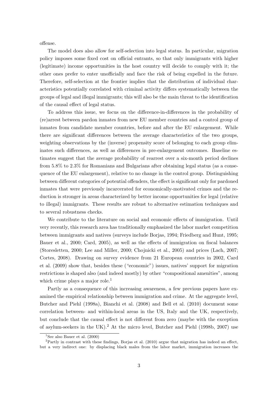offense.

The model does also allow for self-selection into legal status. In particular, migration policy imposes some fixed cost on official entrants, so that only immigrants with higher (legitimate) income opportunities in the host country will decide to comply with it; the other ones prefer to enter unofficially and face the risk of being expelled in the future. Therefore, self-selection at the frontier implies that the distribution of individual characteristics potentially correlated with criminal activity differs systematically between the groups of legal and illegal immigrants; this will also be the main threat to the identification of the causal effect of legal status.

To address this issue, we focus on the difference-in-differences in the probability of (re)arrest between pardon inmates from new EU member countries and a control group of inmates from candidate member countries, before and after the EU enlargement. While there are significant differences between the average characteristics of the two groups, weighting observations by the (inverse) propensity score of belonging to each group eliminates such differences, as well as differences in pre-enlargement outcomes. Baseline estimates suggest that the average probability of rearrest over a six-month period declines from 5.8% to 2.3% for Romanians and Bulgarians after obtaining legal status (as a consequence of the EU enlargement), relative to no change in the control group. Distinguishing between different categories of potential offenders, the effect is significant only for pardoned inmates that were previously incarcerated for economically-motivated crimes and the reduction is stronger in areas characterized by better income opportunities for legal (relative to illegal) immigrants. These results are robust to alternative estimation techniques and to several robustness checks.

We contribute to the literature on social and economic effects of immigration. Until very recently, this research area has traditionally emphasized the labor market competition between immigrants and natives (surveys include Borjas, 1994; Friedberg and Hunt, 1995; Bauer et al., 2000; Card, 2005), as well as the effects of immigration on fiscal balances (Storesletten, 2000; Lee and Miller, 2000; Chojnicki et al., 2005) and prices (Lach, 2007; Cortes, 2008). Drawing on survey evidence from 21 European countries in 2002, Card et al. (2009) show that, besides these ("economic") issues, natives' support for migration restrictions is shaped also (and indeed mostly) by other "compositional amenities", among which crime plays a major role.<sup>1</sup>

Partly as a consequence of this increasing awareness, a few previous papers have examined the empirical relationship between immigration and crime. At the aggregate level, Butcher and Piehl (1998a), Bianchi et al. (2008) and Bell et al. (2010) document some correlation between- and within-local areas in the US, Italy and the UK, respectively, but conclude that the causal effect is not different from zero (maybe with the exception of asylum-seekers in the UK).<sup>2</sup> At the micro level, Butcher and Piehl (1998b, 2007) use

<sup>&</sup>lt;sup>1</sup>See also Bauer et al.  $(2000)$ 

<sup>&</sup>lt;sup>2</sup>Partly in contrast with these findings, Borjas et al. (2010) argue that migration has indeed an effect, but a very indirect one: by displacing black males from the labor market, immigration increases the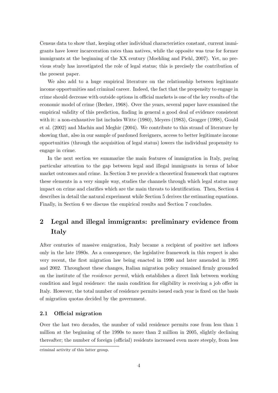Census data to show that, keeping other individual characteristics constant, current immigrants have lower incarceration rates than natives, while the opposite was true for former immigrants at the beginning of the XX century (Moehling and Piehl, 2007). Yet, no previous study has investigated the role of legal status; this is precisely the contribution of the present paper.

We also add to a huge empirical literature on the relationship between legitimate income opportunities and criminal career. Indeed, the fact that the propensity to engage in crime should decrease with outside options in official markets is one of the key results of the economic model of crime (Becker, 1968). Over the years, several paper have examined the empirical validity of this prediction, finding in general a good deal of evidence consistent with it: a non-exhaustive list includes Witte (1980), Meyers (1983), Grogger (1998), Gould et al. (2002) and Machin and Meghir (2004). We contribute to this strand of literature by showing that, also in our sample of pardoned foreigners, access to better legitimate income opportunities (through the acquisition of legal status) lowers the individual propensity to engage in crime.

In the next section we summarize the main features of immigration in Italy, paying particular attention to the gap between legal and illegal immigrants in terms of labor market outcomes and crime. In Section 3 we provide a theoretical framework that captures these elements in a very simple way, studies the channels through which legal status may impact on crime and clarifies which are the main threats to identification. Then, Section 4 describes in detail the natural experiment while Section 5 derives the estimating equations. Finally, in Section 6 we discuss the empirical results and Section 7 concludes.

# 2 Legal and illegal immigrants: preliminary evidence from Italy

After centuries of massive emigration, Italy became a recipient of positive net inflows only in the late 1980s. As a consequence, the legislative framework in this respect is also very recent, the first migration law being enacted in 1990 and later amended in 1995 and 2002. Throughout these changes, Italian migration policy remained firmly grounded on the institute of the residence permit, which establishes a direct link between working condition and legal residence: the main condition for eligibility is receiving a job offer in Italy. However, the total number of residence permits issued each year is fixed on the basis of migration quotas decided by the government.

# 2.1 Official migration

Over the last two decades, the number of valid residence permits rose from less than 1 million at the beginning of the 1990s to more than 2 million in 2005, slightly declining thereafter; the number of foreign (official) residents increased even more steeply, from less

criminal activity of this latter group.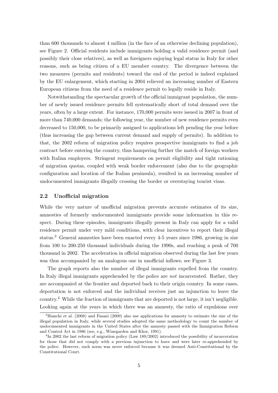than 600 thousands to almost 4 million (in the face of an otherwise declining population), see Figure 2. Official residents include immigrants holding a valid residence permit (and possibly their close relatives), as well as foreigners enjoying legal status in Italy for other reasons, such as being citizen of a EU member country. The divergence between the two measures (permits and residents) toward the end of the period is indeed explained by the EU enlargement, which starting in 2004 relieved an increasing number of Eastern European citizens from the need of a residence permit to legally reside in Italy.

Notwithstanding the spectacular growth of the official immigrant population, the number of newly issued residence permits fell systematically short of total demand over the years, often by a large extent. For instance, 170,000 permits were issued in 2007 in front of more than 740,000 demands; the following year, the number of new residence permits even decreased to 150,000, to be primarily assigned to applications left pending the year before (thus increasing the gap between current demand and supply of permits). In addition to that, the 2002 reform of migration policy requires prospective immigrants to find a job contract before entering the country, thus hampering further the match of foreign workers with Italian employers. Stringent requirements on permit eligibility and tight rationing of migration quotas, coupled with weak border enforcement (also due to the geographic configuration and location of the Italian peninsula), resulted in an increasing number of undocumented immigrants illegally crossing the border or overstaying tourist visas.

# 2.2 Unofficial migration

While the very nature of unofficial migration prevents accurate estimates of its size, amnesties of formerly undocumented immigrants provide some information in this respect. During these episodes, immigrants illegally present in Italy can apply for a valid residence permit under very mild conditions, with clear incentives to report their illegal status.<sup>3</sup> General amnesties have been enacted every  $4-5$  years since 1986, growing in size from 100 to 200-250 thousand individuals during the 1990s, and reaching a peak of 700 thousand in 2002. The acceleration in official migration observed during the last few years was thus accompanied by an analogous one in unofficial inflows; see Figure 3.

The graph reports also the number of illegal immigrants expelled from the country. In Italy illegal immigrants apprehended by the police are *not* incarcerated. Rather, they are accompanied at the frontier and deported back to their origin country. In some cases, deportation is not enforced and the individual receives just an injunction to leave the country.<sup>4</sup> While the fraction of immigrants that are deported is not large, it isn't negligible. Looking again at the years in which there was an amnesty, the ratio of expulsions over

<sup>3</sup>Bianchi et al. (2008) and Fasani (2009) also use applications for amnesty to estimate the size of the illegal population in Italy, while several studies adopted the same methodology to count the number of undocumented immigrants in the United States after the amnesty passed with the Immigration Reform and Control Act in 1986 (see, e.g., Winegarden and Khor, 1991).

<sup>&</sup>lt;sup>4</sup>In 2002 the last reform of migration policy (Law 189/2002) introduced the possibility of incarceration for those that did not comply with a previous injunction to leave and were later re-apprehended by the police. However, such norm was never enforced because it was deemed Anti-Constitutional by the Constitutional Court.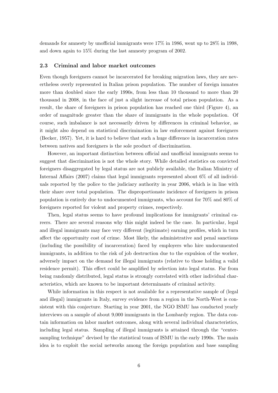demands for amnesty by unofficial immigrants were 17% in 1986, went up to 28% in 1998, and down again to 15% during the last amnesty program of 2002.

#### 2.3 Criminal and labor market outcomes

Even though foreigners cannot be incarcerated for breaking migration laws, they are nevertheless overly represented in Italian prison population. The number of foreign inmates more than doubled since the early 1990s, from less than 10 thousand to more than 20 thousand in 2008, in the face of just a slight increase of total prison population. As a result, the share of foreigners in prison population has reached one third (Figure 4), an order of magnitude greater than the share of immigrants in the whole population. Of course, such imbalance is not necessarily driven by differences in criminal behavior, as it might also depend on statistical discrimination in law enforcement against foreigners (Becker, 1957). Yet, it is hard to believe that such a huge difference in incarceration rates between natives and foreigners is the sole product of discrimination.

However, an important distinction between official and unofficial immigrants seems to suggest that discrimination is not the whole story. While detailed statistics on convicted foreigners disaggregated by legal status are not publicly available, the Italian Ministry of Internal Affairs (2007) claims that legal immigrants represented about 6% of all individuals reported by the police to the judiciary authority in year 2006, which is in line with their share over total population. The disproportionate incidence of foreigners in prison population is entirely due to undocumented immigrants, who account for 70% and 80% of foreigners reported for violent and property crimes, respectively.

Then, legal status seems to have profound implications for immigrants' criminal careers. There are several reasons why this might indeed be the case. In particular, legal and illegal immigrants may face very different (legitimate) earning profiles, which in turn affect the opportunity cost of crime. Most likely, the administrative and penal sanctions (including the possibility of incarceration) faced by employers who hire undocumented immigrants, in addition to the risk of job destruction due to the expulsion of the worker, adversely impact on the demand for illegal immigrants (relative to those holding a valid residence permit). This effect could be amplified by selection into legal status. Far from being randomly distributed, legal status is strongly correlated with other individual characteristics, which are known to be important determinants of criminal activity.

While information in this respect is not available for a representative sample of (legal and illegal) immigrants in Italy, survey evidence from a region in the North-West is consistent with this conjecture. Starting in year 2001, the NGO ISMU has conducted yearly interviews on a sample of about 9,000 immigrants in the Lombardy region. The data contain information on labor market outcomes, along with several individual characteristics, including legal status. Sampling of illegal immigrants is attained through the "centersampling technique" devised by the statistical team of ISMU in the early 1990s. The main idea is to exploit the social networks among the foreign population and base sampling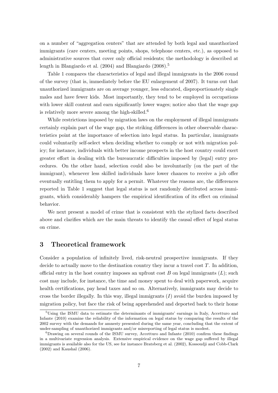on a number of "aggregation centers" that are attended by both legal and unauthorized immigrants (care centers, meeting points, shops, telephone centers, etc.), as opposed to administrative sources that cover only official residents; the methodology is described at length in Blangiardo et al. (2004) and Blangiardo (2008).<sup>5</sup>

Table 1 compares the characteristics of legal and illegal immigrants in the 2006 round of the survey (that is, immediately before the EU enlargement of 2007). It turns out that unauthorized immigrants are on average younger, less educated, disproportionately single males and have fewer kids. Most importantly, they tend to be employed in occupations with lower skill content and earn significantly lower wages; notice also that the wage gap is relatively more severe among the high-skilled.<sup>6</sup>

While restrictions imposed by migration laws on the employment of illegal immigrants certainly explain part of the wage gap, the striking differences in other observable characteristics point at the importance of selection into legal status. In particular, immigrants could voluntarily self-select when deciding whether to comply or not with migration policy; for instance, individuals with better income prospects in the host country could exert greater effort in dealing with the bureaucratic difficulties imposed by (legal) entry procedures. On the other hand, selection could also be involuntarily (on the part of the immigrant), whenever less skilled individuals have lower chances to receive a job offer eventually entitling them to apply for a permit. Whatever the reasons are, the differences reported in Table 1 suggest that legal status is not randomly distributed across immigrants, which considerably hampers the empirical identification of its effect on criminal behavior.

We next present a model of crime that is consistent with the stylized facts described above and clarifies which are the main threats to identify the causal effect of legal status on crime.

# 3 Theoretical framework

Consider a population of infinitely lived, risk-neutral prospective immigrants. If they decide to actually move to the destination country they incur a travel cost T. In addition, official entry in the host country imposes an upfront cost  $B$  on legal immigrants  $(L)$ ; such cost may include, for instance, the time and money spent to deal with paperwork, acquire health certifications, pay head taxes and so on. Alternatively, immigrants may decide to cross the border illegally. In this way, illegal immigrants  $(I)$  avoid the burden imposed by migration policy, but face the risk of being apprehended and deported back to their home

 $5U\sin\varrho$  the ISMU data to estimate the determinants of immigrants' earnings in Italy, Accetturo and Infante (2010) examine the reliability of the information on legal status by comparing the results of the 2002 survey with the demands for amnesty presented during the same year, concluding that the extent of under-sampling of unauthorized immigrants and/or misreporting of legal status is modest.

 ${}^{6}$ Drawing on several rounds of the ISMU survey, Accetturo and Infante (2010) confirm these findings in a multivariate regression analysis. Extensive empirical evidence on the wage gap suffered by illegal immigrants is available also for the US, see for instance Bratsberg et al. (2002), Kossoudji and Cobb-Clark (2002) and Kaushal (2006).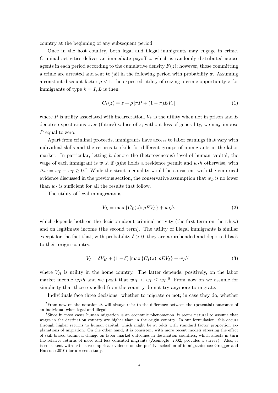country at the beginning of any subsequent period.

Once in the host country, both legal and illegal immigrants may engage in crime. Criminal activities deliver an immediate payoff  $z$ , which is randomly distributed across agents in each period according to the cumulative density  $F(z)$ ; however, those committing a crime are arrested and sent to jail in the following period with probability  $\pi$ . Assuming a constant discount factor  $\rho < 1$ , the expected utility of seizing a crime opportunity z for immigrants of type  $k = I, L$  is then

$$
C_k(z) = z + \rho \left[ \pi P + (1 - \pi) E V_k \right] \tag{1}
$$

where P is utility associated with incarceration,  $V_k$  is the utility when not in prison and E denotes expectations over (future) values of z; without loss of generality, we may impose P equal to zero.

Apart from criminal proceeds, immigrants have access to labor earnings that vary with individual skills and the returns to skills for different groups of immigrants in the labor market. In particular, letting  $h$  denote the (heterogeneous) level of human capital, the wage of each immigrant is  $w_L h$  if (s)he holds a residence permit and  $w_I h$  otherwise, with  $\Delta w = w_L - w_I \geq 0$ .<sup>7</sup> While the strict inequality would be consistent with the empirical evidence discussed in the previous section, the conservative assumption that  $w<sub>L</sub>$  is no lower than  $w_I$  is sufficient for all the results that follow.

The utility of legal immigrants is

$$
V_L = \max\left\{C_L(z); \rho EV_L\right\} + w_L h,\tag{2}
$$

which depends both on the decision about criminal activity (the first term on the r.h.s.) and on legitimate income (the second term). The utility of illegal immigrants is similar except for the fact that, with probability  $\delta > 0$ , they are apprehended and deported back to their origin country,

$$
V_I = \delta V_H + (1 - \delta) [\max \{ C_I(z); \rho E V_I \} + w_I h], \qquad (3)
$$

where  $V_H$  is utility in the home country. The latter depends, positively, on the labor market income  $w_H h$  and we posit that  $w_H < w_I \leq w_L$ .<sup>8</sup> From now on we assume for simplicity that those expelled from the country do not try anymore to migrate.

Individuals face three decisions: whether to migrate or not; in case they do, whether

<sup>&</sup>lt;sup>7</sup>From now on the notation  $\Delta$  will always refer to the difference between the (potential) outcomes of an individual when legal and illegal.

<sup>8</sup>Since in most cases human migration is an economic phenomenon, it seems natural to assume that wages in the destination country are higher than in the origin country. In our formulation, this occurs through higher returns to human capital, which might be at odds with standard factor proportion explanations of migration. On the other hand, it is consistent with more recent models stressing the effect of skill-biased technical change on labor market outcomes in destination countries, which affects in turn the relative returns of more and less educated migrants (Acemoglu, 2002, provides a survey). Also, it is consistent with extensive empirical evidence on the positive selection of immigrants; see Grogger and Hanson (2010) for a recent study.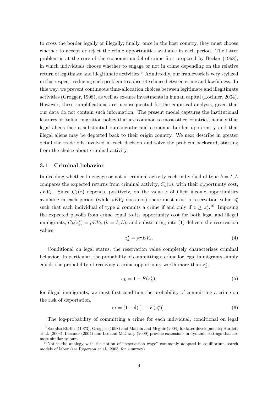to cross the border legally or illegally; finally, once in the host country, they must choose whether to accept or reject the crime opportunities available in each period. The latter problem is at the core of the economic model of crime first proposed by Becker (1968), in which individuals choose whether to engage or not in crime depending on the relative return of legitimate and illegitimate activities.<sup>9</sup> Admittedly, our framework is very stylized in this respect, reducing such problem to a discrete choice between crime and lawfulness. In this way, we prevent continuous time-allocation choices between legitimate and illegitimate activities (Grogger, 1998), as well as ex-ante investments in human capital (Lochner, 2004). However, these simplifications are inconsequential for the empirical analysis, given that our data do not contain such information. The present model captures the institutional features of Italian migration policy that are common to most other countries, namely that legal aliens face a substantial bureaucratic and economic burden upon entry and that illegal aliens may be deported back to their origin country. We next describe in greater detail the trade offs involved in each decision and solve the problem backward, starting from the choice about criminal activity.

# 3.1 Criminal behavior

In deciding whether to engage or not in criminal activity each individual of type  $k = I, L$ compares the expected returns from criminal activity,  $C_k(z)$ , with their opportunity cost,  $\rho EV_k$ . Since  $C_k(z)$  depends, positively, on the value z of illicit income opportunities available in each period (while  $\rho EV_k$  does not) there must exist a reservation value  $z_k^*$ such that each individual of type k commits a crime if and only if  $z \geq z_k^{*10}$  Imposing the expected payoffs from crime equal to its opportunity cost for both legal and illegal immigrants,  $C_k(z_k^*) = \rho EV_k$   $(k = I, L)$ , and substituting into (1) delivers the reservation values

$$
z_k^* = \rho \pi E V_k. \tag{4}
$$

Conditional on legal status, the reservation value completely characterizes criminal behavior. In particular, the probability of committing a crime for legal immigrants simply equals the probability of receiving a crime opportunity worth more than  $z_L^*$ ,

$$
c_L = 1 - F(z_L^*);
$$
\n(5)

for illegal immigrants, we must first condition the probability of committing a crime on the risk of deportation,

$$
c_I = (1 - \delta) [1 - F(z_I^*)]. \tag{6}
$$

The log-probability of committing a crime for each individual, conditional on legal

<sup>9</sup>See also Ehrlich (1973), Grogger (1998) and Machin and Meghir (2004) for later developments; Burdett et al. (2003), Lochner (2004) and Lee and McCrary (2009) provide extensions in dynamic settings that are most similar to ours.

 $10<sup>10</sup>$ Notice the analogy with the notion of "reservation wage" commonly adopted in equilibrium search models of labor (see Rogerson et al., 2005, for a survey)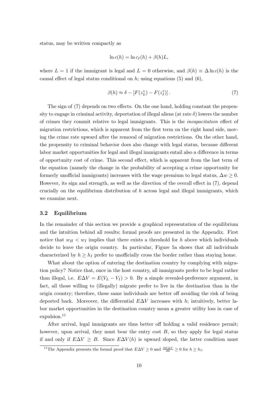status, may be written compactly as

$$
\ln c(h) = \ln c_I(h) + \beta(h)L,
$$

where  $L = 1$  if the immigrant is legal and  $L = 0$  otherwise, and  $\beta(h) \equiv \Delta \ln c(h)$  is the causal effect of legal status conditional on  $h$ ; using equations (5) and (6),

$$
\beta(h) \approx \delta - [F(z_L^*) - F(z_I^*)]. \tag{7}
$$

The sign of (7) depends on two effects. On the one hand, holding constant the propensity to engage in criminal activity, deportation of illegal aliens (at rate  $\delta$ ) lowers the number of crimes they commit relative to legal immigrants. This is the incapacitation effect of migration restrictions, which is apparent from the first term on the right hand side, moving the crime rate upward after the removal of migration restrictions. On the other hand, the propensity to criminal behavior does also change with legal status, because different labor market opportunities for legal and illegal immigrants entail also a difference in terms of opportunity cost of crime. This second effect, which is apparent from the last term of the equation (namely the change in the probability of accepting a crime opportunity for formerly unofficial immigrants) increases with the wage premium to legal status,  $\Delta w \geq 0$ . However, its sign and strength, as well as the direction of the overall effect in (7), depend crucially on the equilibrium distribution of  $h$  across legal and illegal immigrants, which we examine next.

# 3.2 Equilibrium

In the remainder of this section we provide a graphical representation of the equilibrium and the intuition behind all results; formal proofs are presented in the Appendix. First notice that  $w_H < w_I$  implies that there exists a threshold for h above which individuals decide to leave the origin country. In particular, Figure 5a shows that all individuals characterized by  $h \geq h_I$  prefer to unofficially cross the border rather than staying home.

What about the option of entering the destination country by complying with migration policy? Notice that, once in the host country, all immigrants prefer to be legal rather than illegal, i.e.  $E\Delta V = E(V_L - V_I) > 0$ . By a simple revealed-preference argument, in fact, all those willing to (illegally) migrate prefer to live in the destination than in the origin country; therefore, these same individuals are better off avoiding the risk of being deported back. Moreover, the differential  $E\Delta V$  increases with h; intuitively, better labor market opportunities in the destination country mean a greater utility loss in case of expulsion.<sup>11</sup>

After arrival, legal immigrants are thus better off holding a valid residence permit; however, upon arrival, they must bear the entry cost  $B$ , so they apply for legal status if and only if  $E\Delta V \geq B$ . Since  $E\Delta V(h)$  is upward sloped, the latter condition must

<sup>&</sup>lt;sup>11</sup>The Appendix presents the formal proof that  $E\Delta V \geq 0$  and  $\frac{\partial E\Delta V}{\partial h} \geq 0$  for  $h \geq h_I$ .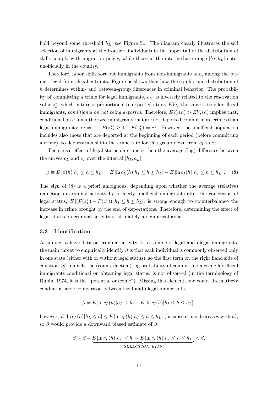hold beyond some threshold  $h_L$ ; see Figure 5b. The diagram clearly illustrates the self selection of immigrants at the frontier: individuals in the upper tail of the distribution of skills comply with migration policy, while those in the intermediate range  $[h_I, h_L]$  enter unofficially in the country.

Therefore, labor skills sort out immigrants from non-immigrants and, among the former, legal from illegal entrants. Figure 5c shows then how the equilibrium distribution of h determines within- and between-group differences in criminal behavior. The probability of committing a crime for legal immigrants,  $c<sub>L</sub>$ , is inversely related to the reservation value  $z_L^*$ , which in turn is proportional to expected utility  $EV_L$ ; the same is true for illegal immigrants, conditional on not being deported. Therefore,  $EV_L(h) > EV_I(h)$  implies that, conditional on  $h$ , unauthorized immigrants that are not deported commit more crimes than legal immigrants:  $\tilde{c}_I = 1 - F(z_I^*) \geq 1 - F(z_L^*) = c_L$ . However, the unofficial population includes also those that are deported at the beginning of each period (before committing a crime), so deportation shifts the crime rate for this group down from  $\tilde{c}_I$  to  $c_I$ .

The causal effect of legal status on crime is then the average (log) difference between the curves  $c_L$  and  $c_I$  over the interval  $[h_I, h_L]$ 

$$
\beta \equiv E\left[\beta(h)|h_I \le h \le h_L\right] = E\left[\ln c_L(h)|h_I \le h \le h_L\right] - E\left[\ln c_I(h)|h_I \le h \le h_L\right].\tag{8}
$$

The sign of (8) is a priori ambiguous, depending upon whether the average (relative) reduction in criminal activity by formerly unofficial immigrants after the concession of legal status,  $E[(F(z_L^*) - F(z_I^*)) | h_I \leq h \leq h_L]$ , is strong enough to counterbalance the increase in crime brought by the end of deportations. Therefore, determining the effect of legal status on criminal activity is ultimately an empirical issue.

# 3.3 Identification

Assuming to have data on criminal activity for a sample of legal and illegal immigrants, the main threat to empirically identify  $\beta$  is that each individual is commonly observed only in one state (either with or without legal status), so the first term on the right hand side of equation (8), namely the (counterfactual) log probability of committing a crime for illegal immigrants conditional on obtaining legal status, is not observed (in the terminology of Rubin, 1974, it is the "potential outcome"). Missing this element, one could alternatively conduct a naive comparison between legal and illegal immigrants,

$$
\tilde{\beta} = E \left[ \ln c_L(h) \middle| h_L \le h \right] - E \left[ \ln c_I(h) \middle| h_I \le h \le h_L \right];
$$

however,  $E[\ln c_L(h)|h_L \leq h] \leq E[\ln c_L(h)|h_I \leq h \leq h_L]$  (because crime decreases with h), so  $\tilde{\beta}$  would provide a downward biased estimate of  $\beta,$ 

$$
\tilde{\beta} = \beta + \underbrace{E \left[ \ln c_L(h) \middle| h_L \le h \right] - E \left[ \ln c_L(h) \middle| h_I \le h \le h_L \right]}_{SELECTION \; BIAS} < \beta,
$$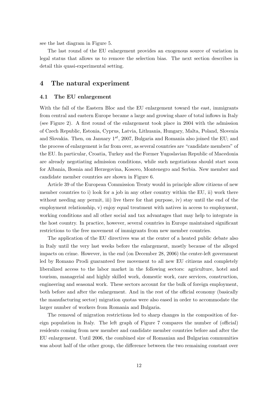see the last diagram in Figure 5.

The last round of the EU enlargement provides an exogenous source of variation in legal status that allows us to remove the selection bias. The next section describes in detail this quasi-experimental setting.

# 4 The natural experiment

### 4.1 The EU enlargement

With the fall of the Eastern Bloc and the EU enlargement toward the east, immigrants from central and eastern Europe became a large and growing share of total inflows in Italy (see Figure 2). A first round of the enlargement took place in 2004 with the admission of Czech Republic, Estonia, Cyprus, Latvia, Lithuania, Hungary, Malta, Poland, Slovenia and Slovakia. Then, on January  $1^{st}$ , 2007, Bulgaria and Romania also joined the EU; and the process of enlargement is far from over, as several countries are "candidate members" of the EU. In particular, Croatia, Turkey and the Former Yugoslavian Republic of Macedonia are already negotiating admission conditions, while such negotiations should start soon for Albania, Bosnia and Herzegovina, Kosovo, Montenegro and Serbia. New member and candidate member countries are shown in Figure 6.

Article 39 of the European Commission Treaty would in principle allow citizens of new member countries to i) look for a job in any other country within the EU, ii) work there without needing any permit, iii) live there for that purpose, iv) stay until the end of the employment relationship, v) enjoy equal treatment with natives in access to employment, working conditions and all other social and tax advantages that may help to integrate in the host country. In practice, however, several countries in Europe maintained significant restrictions to the free movement of immigrants from new member countries.

The application of the EU directives was at the center of a heated public debate also in Italy until the very last weeks before the enlargement, mostly because of the alleged impacts on crime. However, in the end (on December 28, 2006) the center-left government led by Romano Prodi guaranteed free movement to all new EU citizens and completely liberalized access to the labor market in the following sectors: agriculture, hotel and tourism, managerial and highly skilled work, domestic work, care services, construction, engineering and seasonal work. These sectors account for the bulk of foreign employment, both before and after the enlargement. And in the rest of the official economy (basically the manufacturing sector) migration quotas were also eased in order to accommodate the larger number of workers from Romania and Bulgaria.

The removal of migration restrictions led to sharp changes in the composition of foreign population in Italy. The left graph of Figure 7 compares the number of (official) residents coming from new member and candidate member countries before and after the EU enlargement. Until 2006, the combined size of Romanian and Bulgarian communities was about half of the other group, the difference between the two remaining constant over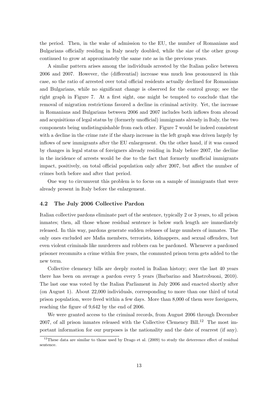the period. Then, in the wake of admission to the EU, the number of Romanians and Bulgarians officially residing in Italy nearly doubled, while the size of the other group continued to grow at approximately the same rate as in the previous years.

A similar pattern arises among the individuals arrested by the Italian police between 2006 and 2007. However, the (differential) increase was much less pronounced in this case, so the ratio of arrested over total official residents actually declined for Romanians and Bulgarians, while no significant change is observed for the control group; see the right graph in Figure 7. At a first sight, one might be tempted to conclude that the removal of migration restrictions favored a decline in criminal activity. Yet, the increase in Romanians and Bulgarians between 2006 and 2007 includes both inflows from abroad and acquisitions of legal status by (formerly unofficial) immigrants already in Italy, the two components being undistinguishable from each other. Figure 7 would be indeed consistent with a decline in the crime rate if the sharp increase in the left graph was driven largely by inflows of new immigrants after the EU enlargement. On the other hand, if it was caused by changes in legal status of foreigners already residing in Italy before 2007, the decline in the incidence of arrests would be due to the fact that formerly unofficial immigrants impact, positively, on total official population only after 2007, but affect the number of crimes both before and after that period.

One way to circumvent this problem is to focus on a sample of immigrants that were already present in Italy before the enlargement.

# 4.2 The July 2006 Collective Pardon

Italian collective pardons eliminate part of the sentence, typically 2 or 3 years, to all prison inmates; then, all those whose residual sentence is below such length are immediately released. In this way, pardons generate sudden releases of large numbers of inmates. The only ones excluded are Mafia members, terrorists, kidnappers, and sexual offenders, but even violent criminals like murderers and robbers can be pardoned. Whenever a pardoned prisoner recommits a crime within five years, the commuted prison term gets added to the new term.

Collective clemency bills are deeply rooted in Italian history; over the last 40 years there has been on average a pardon every 5 years (Barbarino and Mastrobuoni, 2010). The last one was voted by the Italian Parliament in July 2006 and enacted shortly after (on August 1). About 22,000 individuals, corresponding to more than one third of total prison population, were freed within a few days. More than 8,000 of them were foreigners, reaching the figure of 9,642 by the end of 2006.

We were granted access to the criminal records, from August 2006 through December 2007, of all prison inmates released with the Collective Clemency Bill.<sup>12</sup> The most important information for our purposes is the nationality and the date of rearrest (if any).

 $12$ These data are similar to those used by Drago et al. (2009) to study the deterrence effect of residual sentence.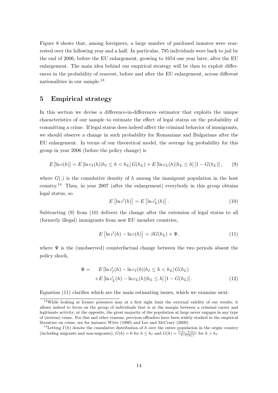Figure 8 shows that, among foreigners, a large number of pardoned inmates were rearrested over the following year and a half. In particular, 795 individuals were back to jail by the end of 2006, before the EU enlargement, growing to 1654 one year later, after the EU enlargement. The main idea behind our empirical strategy will be then to exploit differences in the probability of rearrest, before and after the EU enlargement, across different nationalities in our sample.<sup>13</sup>

# 5 Empirical strategy

In this section we devise a difference-in-differences estimator that exploits the unique characteristics of our sample to estimate the effect of legal status on the probability of committing a crime. If legal status does indeed affect the criminal behavior of immigrants, we should observe a change in such probability for Romanians and Bulgarians after the EU enlargement. In terms of our theoretical model, the average log probability for this group in year 2006 (before the policy change) is

$$
E\left[\ln c(h)\right] = E\left[\ln c_I(h)|h_I \le h < h_L\right] G(h_L) + E\left[\ln c_L(h)|h_L \le h\right] \left[1 - G(h_L)\right],\tag{9}
$$

where  $G(.)$  is the cumulative density of h among the immigrant population in the host country.<sup>14</sup> Then, in year 2007 (after the enlargement) everybody in this group obtains legal status, so

$$
E\left[\ln c'(h)\right] = E\left[\ln c'_L(h)\right].\tag{10}
$$

Subtracting (9) from (10) delivers the change after the extension of legal status to all (formerly illegal) immigrants from new EU member countries,

$$
E\left[\ln c'(h) - \ln c(h)\right] = \beta G(h_L) + \Psi,
$$
\n(11)

where  $\Psi$  is the (unobserved) counterfactual change between the two periods absent the policy shock,

$$
\Psi = E[\ln c'_I(h) - \ln c_I(h)|h_I \le h < h_L] G(h_L) \n+ E[\ln c'_L(h) - \ln c_L(h)|h_L \le h] [1 - G(h_L)].
$$
\n(12)

Equation (11) clarifies which are the main estimating issues, which we examine next.

<sup>13</sup>While looking at former prisoners may at a first sight limit the external validity of our results, it allows indeed to focus on the group of individuals that is at the margin between a criminal career and legitimate activity; at the opposite, the great majority of the population at large never engages in any type of (serious) crime. For this and other reasons, previous offenders have been widely studied in the empirical literature on crime, see for instance Witte (1980) and Lee and McCrary (2009).

<sup>&</sup>lt;sup>14</sup>Letting  $\Gamma(h)$  denote the cumulative distribution of h over the entire population in the origin country (including migrants and non-migrants),  $G(h) = 0$  for  $h \leq h_I$  and  $G(h) = \frac{\Gamma(h) - \Gamma(h_I)}{1 - \Gamma(h_I)}$  for  $h > h_I$ .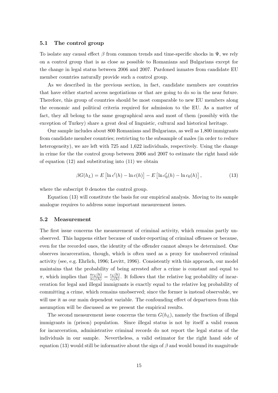### 5.1 The control group

To isolate any causal effect  $\beta$  from common trends and time-specific shocks in  $\Psi$ , we rely on a control group that is as close as possible to Romanians and Bulgarians except for the change in legal status between 2006 and 2007. Pardoned inmates from candidate EU member countries naturally provide such a control group.

As we described in the previous section, in fact, candidate members are countries that have either started access negotiations or that are going to do so in the near future. Therefore, this group of countries should be most comparable to new EU members along the economic and political criteria required for admission to the EU. As a matter of fact, they all belong to the same geographical area and most of them (possibly with the exception of Turkey) share a great deal of linguistic, cultural and historical heritage.

Our sample includes about 800 Romanians and Bulgarians, as well as 1,800 immigrants from candidate member countries; restricting to the subsample of males (in order to reduce heterogeneity), we are left with 725 and 1,622 individuals, respectively. Using the change in crime for the the control group between 2006 and 2007 to estimate the right hand side of equation (12) and substituting into (11) we obtain

$$
\beta G(h_L) = E \left[ \ln c'(h) - \ln c(h) \right] - E \left[ \ln c'_0(h) - \ln c_0(h) \right], \tag{13}
$$

where the subscript 0 denotes the control group.

Equation (13) will constitute the basis for our empirical analysis. Moving to its sample analogue requires to address some important measurement issues.

#### 5.2 Measurement

The first issue concerns the measurement of criminal activity, which remains partly unobserved. This happens either because of under-reporting of criminal offenses or because, even for the recorded ones, the identity of the offender cannot always be determined. One observes incarceration, though, which is often used as a proxy for unobserved criminal activity (see, e.g. Ehrlich, 1996; Levitt, 1996). Consistently with this approach, our model maintains that the probability of being arrested after a crime is constant and equal to  $\pi$ , which implies that  $\frac{\pi c_L(h)}{\pi c_I(h)} = \frac{c_L(h)}{c_I(h)}$  $\frac{c_L(h)}{c_I(h)}$ . It follows that the relative log probability of incarceration for legal and illegal immigrants is exactly equal to the relative log probability of committing a crime, which remains unobserved; since the former is instead observable, we will use it as our main dependent variable. The confounding effect of departures from this assumption will be discussed as we present the empirical results.

The second measurement issue concerns the term  $G(h_L)$ , namely the fraction of illegal immigrants in (prison) population. Since illegal status is not by itself a valid reason for incarceration, administrative criminal records do not report the legal status of the individuals in our sample. Nevertheless, a valid estimator for the right hand side of equation (13) would still be informative about the sign of  $\beta$  and would bound its magnitude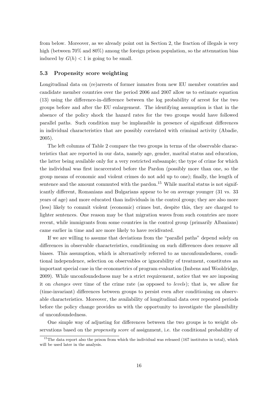from below. Moreover, as we already point out in Section 2, the fraction of illegals is very high (between 70% and 80%) among the foreign prison population, so the attenuation bias induced by  $G(h) < 1$  is going to be small.

# 5.3 Propensity score weighting

Longitudinal data on (re)arrests of former inmates from new EU member countries and candidate member countries over the period 2006 and 2007 allow us to estimate equation (13) using the difference-in-difference between the log probability of arrest for the two groups before and after the EU enlargement. The identifying assumption is that in the absence of the policy shock the hazard rates for the two groups would have followed parallel paths. Such condition may be implausible in presence of significant differences in individual characteristics that are possibly correlated with criminal activity (Abadie, 2005).

The left columns of Table 2 compare the two groups in terms of the observable characteristics that are reported in our data, namely age, gender, marital status and education, the latter being available only for a very restricted subsample; the type of crime for which the individual was first incarcerated before the Pardon (possibly more than one, so the group means of economic and violent crimes do not add up to one); finally, the length of sentence and the amount commuted with the pardon.<sup>15</sup> While marital status is not significantly different, Romanians and Bulgarians appear to be on average younger (31 vs. 33 years of age) and more educated than individuals in the control group; they are also more (less) likely to commit violent (economic) crimes but, despite this, they are charged to lighter sentences. One reason may be that migration waves from such countries are more recent, while immigrants from some countries in the control group (primarily Albanians) came earlier in time and are more likely to have recidivated.

If we are willing to assume that deviations from the "parallel paths" depend solely on differences in observable characteristics, conditioning on such differences does remove all biases. This assumption, which is alternatively referred to as unconfoundedness, conditional independence, selection on observables or ignorability of treatment, constitutes an important special case in the econometrics of program evaluation (Imbens and Wooldridge, 2009). While unconfoundedness may be a strict requirement, notice that we are imposing it on changes over time of the crime rate (as opposed to levels); that is, we allow for (time-invariant) differences between groups to persist even after conditioning on observable characteristics. Moreover, the availability of longitudinal data over repeated periods before the policy change provides us with the opportunity to investigate the plausibility of unconfoundedness.

One simple way of adjusting for differences between the two groups is to weight observations based on the propensity score of assignment, i.e. the conditional probability of

<sup>&</sup>lt;sup>15</sup>The data report also the prison from which the individual was released (167 institutes in total), which will be used later in the analysis.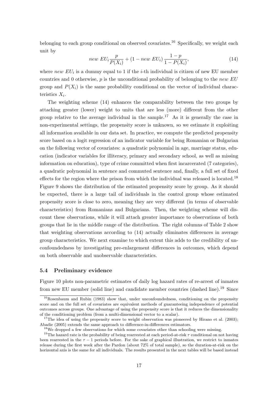belonging to each group conditional on observed covariates.<sup>16</sup> Specifically, we weight each unit by

$$
new \ EU_i \frac{p}{P(X_i)} + (1 - new \ EU_i) \frac{1 - p}{1 - P(X_i)}, \tag{14}
$$

where new  $EU_i$  is a dummy equal to 1 if the *i*-th individual is citizen of new EU member countries and 0 otherwise,  $p$  is the unconditional probability of belonging to the new EU group and  $P(X_i)$  is the same probability conditional on the vector of individual characteristics  $X_i$ .

The weighting scheme (14) enhances the comparability between the two groups by attaching greater (lower) weight to units that are less (more) different from the other group relative to the average individual in the sample.<sup>17</sup> As it is generally the case in non-experimental settings, the propensity score is unknown, so we estimate it exploiting all information available in our data set. In practice, we compute the predicted propensity score based on a logit regression of an indicator variable for being Romanian or Bulgarian on the following vector of covariates: a quadratic polynomial in age, marriage status, education (indicator variables for illiteracy, primary and secondary school, as well as missing information on education), type of crime committed when first incarcerated (7 categories), a quadratic polynomial in sentence and commuted sentence and, finally, a full set of fixed effects for the region where the prison from which the individual was released is located.<sup>18</sup> Figure 9 shows the distribution of the estimated propensity score by group. As it should be expected, there is a large tail of individuals in the control group whose estimated propensity score is close to zero, meaning they are very different (in terms of observable characteristics) from Romanians and Bulgarians. Then, the weighting scheme will discount these observations, while it will attach greater importance to observations of both groups that lie in the middle range of the distribution. The right columns of Table 2 show that weighting observations according to (14) actually eliminates differences in average group characteristics. We next examine to which extent this adds to the credibility of unconfoundedness by investigating pre-enlargement differences in outcomes, which depend on both observable and unobservable characteristics.

# 5.4 Preliminary evidence

Figure 10 plots non-parametric estimates of daily log hazard rates of re-arrest of inmates from new EU member (solid line) and candidate member countries (dashed line).<sup>19</sup> Since

 $16R$ osenbaum and Rubin (1983) show that, under unconfoundedness, conditioning on the propensity score and on the full set of covariates are equivalent methods of guaranteeing independence of potential outcomes across groups. One advantage of using the propensity score is that it reduces the dimensionality of the conditioning problem (from a multi-dimensional vector to a scalar).

<sup>&</sup>lt;sup>17</sup>The idea of using the propensity score to weight observation was pioneered by Hirano et al. (2003); Abadie (2005) extends the same approach to difference-in-differences estimators.

<sup>&</sup>lt;sup>18</sup>We dropped a few observations for which some covariates other than schooling were missing.

<sup>&</sup>lt;sup>19</sup>The hazard rate is the probability of being rearrested at each period-at-risk  $\tau$  conditional on not having been rearrested in the  $\tau - 1$  periods before. For the sake of graphical illustration, we restrict to inmates release during the first week after the Pardon (about 72% of total sample), so the duration-at-risk on the horizontal axis is the same for all individuals. The results presented in the next tables will be based instead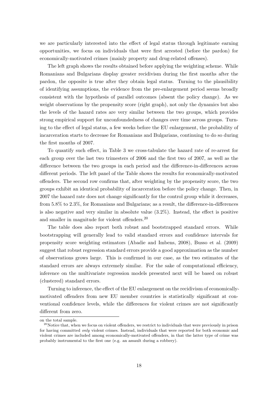we are particularly interested into the effect of legal status through legitimate earning opportunities, we focus on individuals that were first arrested (before the pardon) for economically-motivated crimes (mainly property and drug-related offenses).

The left graph shows the results obtained before applying the weighting scheme. While Romanians and Bulgarians display greater recidivism during the first months after the pardon, the opposite is true after they obtain legal status. Turning to the plausibility of identifying assumptions, the evidence from the pre-enlargement period seems broadly consistent with the hypothesis of parallel outcomes (absent the policy change). As we weight observations by the propensity score (right graph), not only the dynamics but also the levels of the hazard rates are very similar between the two groups, which provides strong empirical support for unconfoundedness of changes over time across groups. Turning to the effect of legal status, a few weeks before the EU enlargement, the probability of incarceration starts to decrease for Romanians and Bulgarians, continuing to do so during the first months of 2007.

To quantify such effect, in Table 3 we cross-tabulate the hazard rate of re-arrest for each group over the last two trimesters of 2006 and the first two of 2007, as well as the difference between the two groups in each period and the difference-in-differences across different periods. The left panel of the Table shows the results for economically-motivated offenders. The second row confirms that, after weighting by the propensity score, the two groups exhibit an identical probability of incarceration before the policy change. Then, in 2007 the hazard rate does not change significantly for the control group while it decreases, from 5.8% to 2.3%, for Romanians and Bulgarians; as a result, the difference-in-differences is also negative and very similar in absolute value (3.2%). Instead, the effect is positive and smaller in magnitude for violent offenders.<sup>20</sup>

The table does also report both robust and bootstrapped standard errors. While bootstrapping will generally lead to valid standard errors and confidence intervals for propensity score weighting estimators (Abadie and Imbens, 2008), Busso et al. (2009) suggest that robust regression standard errors provide a good approximation as the number of observations grows large. This is confirmed in our case, as the two estimates of the standard errors are always extremely similar. For the sake of computational efficiency, inference on the multivariate regression models presented next will be based on robust (clustered) standard errors.

Turning to inference, the effect of the EU enlargement on the recidivism of economicallymotivated offenders from new EU member countries is statistically significant at conventional confidence levels, while the differences for violent crimes are not significantly different from zero.

on the total sample.

 $^{20}$ Notice that, when we focus on violent offenders, we restrict to individuals that were previously in prison for having committed *only* violent crimes. Instead, individuals that were reported for both economic and violent crimes are included among economically-motivated offenders, in that the latter type of crime was probably instrumental to the first one (e.g. an assault during a robbery).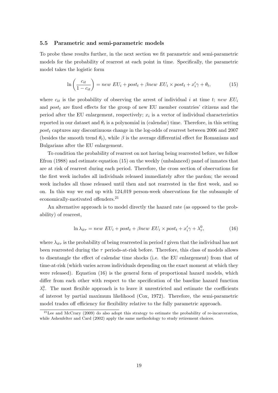#### 5.5 Parametric and semi-parametric models

To probe these results further, in the next section we fit parametric and semi-parametric models for the probability of rearrest at each point in time. Specifically, the parametric model takes the logistic form

$$
\ln\left(\frac{c_{it}}{1-c_{it}}\right) = new \ EU_i + post_t + \beta new \ EU_i \times post_t + x_i' \gamma + \theta_t,\tag{15}
$$

where  $c_{it}$  is the probability of observing the arrest of individual i at time t; new  $EU_i$ and  $post_t$  are fixed effects for the group of new EU member countries' citizens and the period after the EU enlargement, respectively;  $x_i$  is a vector of individual characteristics reported in our dataset and  $\theta_t$  is a polynomial in (calendar) time. Therefore, in this setting  $post_t$  captures any discontinuous change in the log-odds of rearrest between 2006 and 2007 (besides the smooth trend  $\theta_t$ ), while  $\beta$  is the average differential effect for Romanians and Bulgarians after the EU enlargement.

To condition the probability of rearrest on not having being rearrested before, we follow Efron (1988) and estimate equation (15) on the weekly (unbalanced) panel of inmates that are at risk of rearrest during each period. Therefore, the cross section of observations for the first week includes all individuals released immediately after the pardon; the second week includes all those released until then and not rearrested in the first week, and so on. In this way we end up with 124,019 person-week observations for the subsample of economically-motivated offenders.<sup>21</sup>

An alternative approach is to model directly the hazard rate (as opposed to the probability) of rearrest,

$$
\ln \lambda_{it\tau} = new \ EU_i + post_t + \beta new \ EU_i \times post_t + x_i' \gamma + \lambda_\tau^0,\tag{16}
$$

where  $\lambda_{it\tau}$  is the probability of being rearrested in period t given that the individual has not been rearrested during the  $\tau$  periods-at-risk before. Therefore, this class of models allows to disentangle the effect of calendar time shocks (i.e. the EU enlargement) from that of time-at-risk (which varies across individuals depending on the exact moment at which they were released). Equation (16) is the general form of proportional hazard models, which differ from each other with respect to the specification of the baseline hazard function  $\lambda_{\tau}^{0}$ . The most flexible approach is to leave it unrestricted and estimate the coefficients of interest by partial maximum likelihood (Cox, 1972). Therefore, the semi-parametric model trades off efficiency for flexibility relative to the fully parametric approach.

 $^{21}$ Lee and McCrary (2009) do also adopt this strategy to estimate the probability of re-incarceration, while Ashenfelter and Card (2002) apply the same methodology to study retirement choices.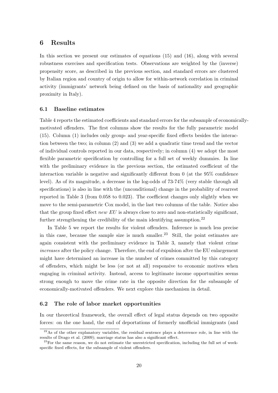# 6 Results

In this section we present our estimates of equations (15) and (16), along with several robustness exercises and specification tests. Observations are weighted by the (inverse) propensity score, as described in the previous section, and standard errors are clustered by Italian region and country of origin to allow for within-network correlation in criminal activity (immigrants' network being defined on the basis of nationality and geographic proximity in Italy).

# 6.1 Baseline estimates

Table 4 reports the estimated coefficients and standard errors for the subsample of economicallymotivated offenders. The first columns show the results for the fully parametric model (15). Column (1) includes only group- and year-specific fixed effects besides the interaction between the two; in column (2) and (3) we add a quadratic time trend and the vector of individual controls reported in our data, respectively; in column (4) we adopt the most flexible parametric specification by controlling for a full set of weekly dummies. In line with the preliminary evidence in the previous section, the estimated coefficient of the interaction variable is negative and significantly different from 0 (at the 95% confidence level). As of its magnitude, a decrease in the log-odds of 73-74% (very stable through all specifications) is also in line with the (unconditional) change in the probability of rearrest reported in Table 3 (from 0.058 to 0.023). The coefficient changes only slightly when we move to the semi-parametric Cox model, in the last two columns of the table. Notice also that the group fixed effect new  $EU$  is always close to zero and non-statistically significant, further strengthening the credibility of the main identifying assumption.<sup>22</sup>

In Table 5 we report the results for violent offenders. Inference is much less precise in this case, because the sample size is much smaller.<sup>23</sup> Still, the point estimates are again consistent with the preliminary evidence in Table 3, namely that violent crime increases after the policy change. Therefore, the end of expulsion after the EU enlargement might have determined an increase in the number of crimes committed by this category of offenders, which might be less (or not at all) responsive to economic motives when engaging in criminal activity. Instead, access to legitimate income opportunities seems strong enough to move the crime rate in the opposite direction for the subsample of economically-motivated offenders. We next explore this mechanism in detail.

## 6.2 The role of labor market opportunities

In our theoretical framework, the overall effect of legal status depends on two opposite forces: on the one hand, the end of deportations of formerly unofficial immigrants (and

 $22\text{As}$  of the other explanatory variables, the residual sentence plays a deterrence role, in line with the results of Drago et al. (2009); marriage status has also a significant effect.

 $23$ For the same reason, we do not estimate the unrestricted specification, including the full set of weekspecific fixed effects, for the subsample of violent offenders.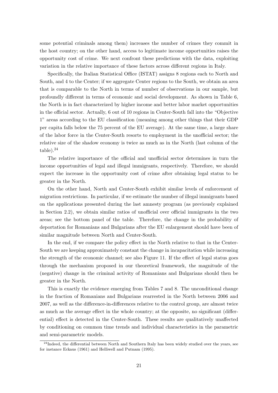some potential criminals among them) increases the number of crimes they commit in the host country; on the other hand, access to legitimate income opportunities raises the opportunity cost of crime. We next confront these predictions with the data, exploiting variation in the relative importance of these factors across different regions in Italy.

Specifically, the Italian Statistical Office (ISTAT) assigns 8 regions each to North and South, and 4 to the Center; if we aggregate Center regions to the South, we obtain an area that is comparable to the North in terms of number of observations in our sample, but profoundly different in terms of economic and social development. As shown in Table 6, the North is in fact characterized by higher income and better labor market opportunities in the official sector. Actually, 6 out of 10 regions in Center-South fall into the "Objective 1" areas according to the EU classification (meaning among other things that their GDP per capita falls below the 75 percent of the EU average). At the same time, a large share of the labor force in the Center-South resorts to employment in the unofficial sector; the relative size of the shadow economy is twice as much as in the North (last column of the  $table)$ <sup>24</sup>

The relative importance of the official and unofficial sector determines in turn the income opportunities of legal and illegal immigrants, respectively. Therefore, we should expect the increase in the opportunity cost of crime after obtaining legal status to be greater in the North.

On the other hand, North and Center-South exhibit similar levels of enforcement of migration restrictions. In particular, if we estimate the number of illegal immigrants based on the applications presented during the last amnesty program (as previously explained in Section 2.2), we obtain similar ratios of unofficial over official immigrants in the two areas; see the bottom panel of the table. Therefore, the change in the probability of deportation for Romanians and Bulgarians after the EU enlargement should have been of similar magnitude between North and Center-South.

In the end, if we compare the policy effect in the North relative to that in the Center-South we are keeping approximately constant the change in incapacitation while increasing the strength of the economic channel; see also Figure 11. If the effect of legal status goes through the mechanism proposed in our theoretical framework, the magnitude of the (negative) change in the criminal activity of Romanians and Bulgarians should then be greater in the North.

This is exactly the evidence emerging from Tables 7 and 8. The unconditional change in the fraction of Romanians and Bulgarians rearrested in the North between 2006 and 2007, as well as the difference-in-differences relative to the control group, are almost twice as much as the average effect in the whole country; at the opposite, no significant (differential) effect is detected in the Center-South. These results are qualitatively unaffected by conditioning on common time trends and individual characteristics in the parametric and semi-parametric models.

 $24$ Indeed, the differential between North and Southern Italy has been widely studied over the years, see for instance Eckaus (1961) and Helliwell and Putnam (1995).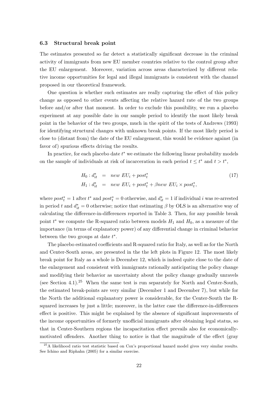### 6.3 Structural break point

The estimates presented so far detect a statistically significant decrease in the criminal activity of immigrants from new EU member countries relative to the control group after the EU enlargement. Moreover, variation across areas characterized by different relative income opportunities for legal and illegal immigrants is consistent with the channel proposed in our theoretical framework.

One question is whether such estimates are really capturing the effect of this policy change as opposed to other events affecting the relative hazard rate of the two groups before and/or after that moment. In order to exclude this possibility, we run a placebo experiment at any possible date in our sample period to identify the most likely break point in the behavior of the two groups, much in the spirit of the tests of Andrews (1993) for identifying structural changes with unknown break points. If the most likely period is close to (distant from) the date of the EU enlargement, this would be evidence against (in favor of) spurious effects driving the results.

In practice, for each placebo date  $t^*$  we estimate the following linear probability models on the sample of individuals at risk of incarceration in each period  $t \leq t^*$  and  $t > t^*$ ,

$$
H_0: d_{it}^* = new EU_i + post_t^*
$$
  
\n
$$
H_1: d_{it}^* = new EU_i + post_t^* + \beta new EU_i \times post_t^*,
$$
\n(17)

where  $post_t^* = 1$  after  $t^*$  and  $post_t^* = 0$  otherwise, and  $d_{it}^* = 1$  if individual i was re-arrested in period t and  $d_{it}^* = 0$  otherwise; notice that estimating  $\beta$  by OLS is an alternative way of calculating the difference-in-differences reported in Table 3. Then, for any possible break point  $t^*$  we compute the R-squared ratio between models  $H_1$  and  $H_0$ , as a measure of the importance (in terms of explanatory power) of any differential change in criminal behavior between the two groups at date  $t^*$ .

The placebo estimated coefficients and R-squared ratio for Italy, as well as for the North and Center-South areas, are presented in the the left plots in Figure 12. The most likely break point for Italy as a whole is December 12, which is indeed quite close to the date of the enlargement and consistent with immigrants rationally anticipating the policy change and modifying their behavior as uncertainty about the policy change gradually unravels (see Section 4.1).<sup>25</sup> When the same test is run separately for North and Center-South, the estimated break-points are very similar (December 1 and December 7), but while for the North the additional explanatory power is considerable, for the Center-South the Rsquared increases by just a little; moreover, in the latter case the difference-in-differences effect is positive. This might be explained by the absence of significant improvements of the income opportunities of formerly unofficial immigrants after obtaining legal status, so that in Center-Southern regions the incapacitation effect prevails also for economicallymotivated offenders. Another thing to notice is that the magnitude of the effect (gray

 $^{25}$ A likelihood ratio test statistic based on Cox's proportional hazard model gives very similar results. See Ichino and Riphahn (2005) for a similar exercise.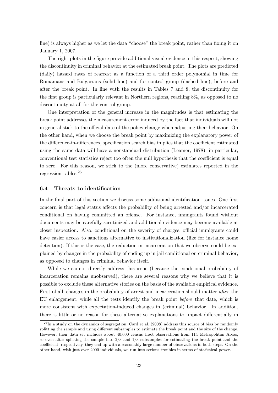line) is always higher as we let the data "choose" the break point, rather than fixing it on January 1, 2007.

The right plots in the figure provide additional visual evidence in this respect, showing the discontinuity in criminal behavior at the estimated break point. The plots are predicted (daily) hazard rates of rearrest as a function of a third order polynomial in time for Romanians and Bulgarians (solid line) and for control group (dashed line), before and after the break point. In line with the results in Tables 7 and 8, the discontinuity for the first group is particularly relevant in Northern regions, reaching 8%, as opposed to no discontinuity at all for the control group.

One interpretation of the general increase in the magnitudes is that estimating the break point addresses the measurement error induced by the fact that individuals will not in general stick to the official date of the policy change when adjusting their behavior. On the other hand, when we choose the break point by maximizing the explanatory power of the difference-in-differences, specification search bias implies that the coefficient estimated using the same data will have a nonstandard distribution (Leamer, 1978); in particular, conventional test statistics reject too often the null hypothesis that the coefficient is equal to zero. For this reason, we stick to the (more conservative) estimates reported in the regression tables.<sup>26</sup>

#### 6.4 Threats to identification

In the final part of this section we discuss some additional identification issues. One first concern is that legal status affects the probability of being arrested and/or incarcerated conditional on having committed an offense. For instance, immigrants found without documents may be carefully scrutinized and additional evidence may become available at closer inspection. Also, conditional on the severity of charges, official immigrants could have easier access to sanctions alternative to institutionalization (like for instance home detention). If this is the case, the reduction in incarceration that we observe could be explained by changes in the probability of ending up in jail conditional on criminal behavior, as opposed to changes in criminal behavior itself.

While we cannot directly address this issue (because the conditional probability of incarceration remains unobserved), there are several reasons why we believe that it is possible to exclude these alternative stories on the basis of the available empirical evidence. First of all, changes in the probability of arrest and incarceration should matter after the EU enlargement, while all the tests identify the break point before that date, which is more consistent with expectation-induced changes in (criminal) behavior. In addition, there is little or no reason for these alternative explanations to impact differentially in

<sup>&</sup>lt;sup>26</sup>In a study on the dynamics of segregation, Card et al. (2008) address this source of bias by randomly splitting the sample and using different subsamples to estimate the break point and the size of the change. However, their data set includes about 40,000 census tract observations from 114 Metropolitan Areas, so even after splitting the sample into 2/3 and 1/3 subsamples for estimating the break point and the coefficient, respectively, they end up with a reasonably large number of observations in both steps. On the other hand, with just over 2000 individuals, we run into serious troubles in terms of statistical power.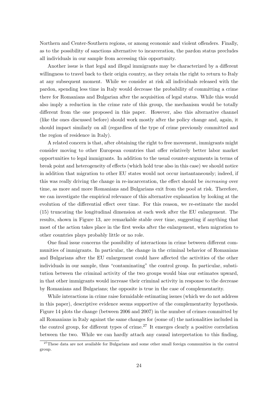Northern and Center-Southern regions, or among economic and violent offenders. Finally, as to the possibility of sanctions alternative to incarceration, the pardon status precludes all individuals in our sample from accessing this opportunity.

Another issue is that legal and illegal immigrants may be characterized by a different willingness to travel back to their origin country, as they retain the right to return to Italy at any subsequent moment. While we consider at risk all individuals released with the pardon, spending less time in Italy would decrease the probability of committing a crime there for Romanians and Bulgarian after the acquisition of legal status. While this would also imply a reduction in the crime rate of this group, the mechanism would be totally different from the one proposed in this paper. However, also this alternative channel (like the ones discussed before) should work mostly after the policy change and, again, it should impact similarly on all (regardless of the type of crime previously committed and the region of residence in Italy).

A related concern is that, after obtaining the right to free movement, immigrants might consider moving to other European countries that offer relatively better labor market opportunities to legal immigrants. In addition to the usual counter-arguments in terms of break point and heterogeneity of effects (which hold true also in this case) we should notice in addition that migration to other EU states would not occur instantaneously; indeed, if this was really driving the change in re-incarceration, the effect should be *increasing* over time, as more and more Romanians and Bulgarians exit from the pool at risk. Therefore, we can investigate the empirical relevance of this alternative explanation by looking at the evolution of the differential effect over time. For this reason, we re-estimate the model (15) truncating the longitudinal dimension at each week after the EU enlargement. The results, shown in Figure 13, are remarkable stable over time, suggesting if anything that most of the action takes place in the first weeks after the enlargement, when migration to other countries plays probably little or no role.

One final issue concerns the possibility of interactions in crime between different communities of immigrants. In particular, the change in the criminal behavior of Romanians and Bulgarians after the EU enlargement could have affected the activities of the other individuals in our sample, thus "contaminating" the control group. In particular, substitution between the criminal activity of the two groups would bias our estimates upward, in that other immigrants would increase their criminal activity in response to the decrease by Romanians and Bulgarians; the opposite is true in the case of complementarity.

While interactions in crime raise formidable estimating issues (which we do not address in this paper), descriptive evidence seems supportive of the complementarity hypothesis. Figure 14 plots the change (between 2006 and 2007) in the number of crimes committed by all Romanians in Italy against the same changes for (some of) the nationalities included in the control group, for different types of crime.<sup>27</sup> It emerges clearly a positive correlation between the two. While we can hardly attach any causal interpretation to this finding,

<sup>&</sup>lt;sup>27</sup>These data are not available for Bulgarians and some other small foreign communities in the control group.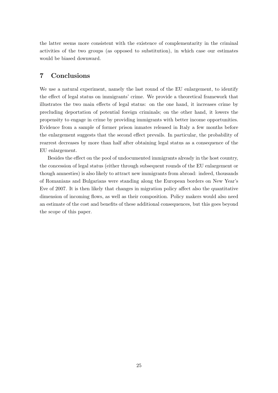the latter seems more consistent with the existence of complementarity in the criminal activities of the two groups (as opposed to substitution), in which case our estimates would be biased downward.

# 7 Conclusions

We use a natural experiment, namely the last round of the EU enlargement, to identify the effect of legal status on immigrants' crime. We provide a theoretical framework that illustrates the two main effects of legal status: on the one hand, it increases crime by precluding deportation of potential foreign criminals; on the other hand, it lowers the propensity to engage in crime by providing immigrants with better income opportunities. Evidence from a sample of former prison inmates released in Italy a few months before the enlargement suggests that the second effect prevails. In particular, the probability of rearrest decreases by more than half after obtaining legal status as a consequence of the EU enlargement.

Besides the effect on the pool of undocumented immigrants already in the host country, the concession of legal status (either through subsequent rounds of the EU enlargement or though amnesties) is also likely to attract new immigrants from abroad: indeed, thousands of Romanians and Bulgarians were standing along the European borders on New Year's Eve of 2007. It is then likely that changes in migration policy affect also the quantitative dimension of incoming flows, as well as their composition. Policy makers would also need an estimate of the cost and benefits of these additional consequences, but this goes beyond the scope of this paper.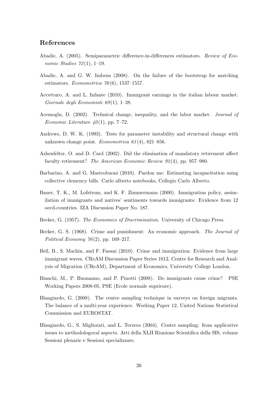# References

- Abadie, A. (2005). Semiparametric difference-in-differences estimators. Review of Economic Studies  $72(1)$ , 1-19.
- Abadie, A. and G. W. Imbens (2008). On the failure of the bootstrap for matching estimators. Econometrica  $76(6)$ , 1537–1557.
- Accetturo, A. and L. Infante (2010). Immigrant earnings in the italian labour market. Giornale degli Economisti 69 (1), 1–28.
- Acemoglu, D. (2002). Technical change, inequality, and the labor market. Journal of Economic Literature  $40(1)$ , pp. 7–72.
- Andrews, D. W. K. (1993). Tests for parameter instability and structural change with unknown change point. Econometrica 61 (4), 821–856.
- Ashenfelter, O. and D. Card (2002). Did the elimination of mandatory retirement affect faculty retirement? The American Economic Review 92 (4), pp. 957–980.
- Barbarino, A. and G. Mastrobuoni (2010). Pardon me: Estimating incapacitation using collective clemency bills. Carlo alberto notebooks, Collegio Carlo Alberto.
- Bauer, T. K., M. Lofstrom, and K. F. Zimmermann (2000). Immigration policy, assimilation of immigrants and natives' sentiments towards immigrants: Evidence from 12 oecd-countries. IZA Discussion Paper No. 187.
- Becker, G. (1957). The Economics of Discrimination. University of Chicago Press.
- Becker, G. S. (1968). Crime and punishment: An economic approach. The Journal of Political Economy  $76(2)$ , pp. 169–217.
- Bell, B., S. Machin, and F. Fasani (2010). Crime and immigration: Evidence from large immigrant waves. CReAM Discussion Paper Series 1012, Centre for Research and Analysis of Migration (CReAM), Department of Economics, University College London.
- Bianchi, M., P. Buonanno, and P. Pinotti (2008). Do immigrants cause crime? PSE Working Papers 2008-05, PSE (Ecole normale suprieure).
- Blangiardo, G. (2008). The centre sampling technique in surveys on foreign migrants. The balance of a multi-year experience. Working Paper 12, United Nations Statistical Commission and EUROSTAT.
- Blangiardo, G., S. Migliorati, and L. Terzera (2004). Center sampling: from applicative issues to methodologocal aspects. Atti della XLII Riunione Scientifica della SIS, volume Sessioni plenarie e Sessioni specializzate.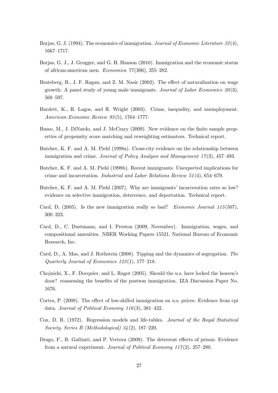- Borjas, G. J. (1994). The economics of immigration. Journal of Economic Literature 32 (4), 1667–1717.
- Borjas, G. J., J. Grogger, and G. H. Hanson (2010). Immigration and the economic status of african-american men. Economica 77 (306), 255–282.
- Bratsberg, B., J. F. Ragan, and Z. M. Nasir (2002). The effect of naturalization on wage growth: A panel study of young male immigrants. Journal of Labor Economics  $20(3)$ , 568–597.
- Burdett, K., R. Lagos, and R. Wright (2003). Crime, inequality, and unemployment. American Economic Review 93 (5), 1764–1777.
- Busso, M., J. DiNardo, and J. McCrary (2009). New evidence on the finite sample properties of propensity score matching and reweighting estimators. Technical report.
- Butcher, K. F. and A. M. Piehl (1998a). Cross-city evidence on the relationship between immigration and crime. Journal of Policy Analysis and Management  $17(3)$ , 457–493.
- Butcher, K. F. and A. M. Piehl (1998b). Recent immigrants: Unexpected implications for crime and incarceration. Industrial and Labor Relations Review 51 (4), 654–679.
- Butcher, K. F. and A. M. Piehl (2007). Why are immigrants' incarceration rates so low? evidence on selective immigration, deterrence, and deportation. Technical report.
- Card, D. (2005). Is the new immigration really so bad? Economic Journal  $115(507)$ , 300–323.
- Card, D., C. Dustmann, and I. Preston (2009, November). Immigration, wages, and compositional amenities. NBER Working Papers 15521, National Bureau of Economic Research, Inc.
- Card, D., A. Mas, and J. Rothstein (2008). Tipping and the dynamics of segregation. The Quarterly Journal of Economics 123 (1), 177–218.
- Chojnicki, X., F. Docquier, and L. Ragot (2005). Should the u.s. have locked the heaven's door? reassessing the benefits of the postwar immigration. IZA Discussion Paper No. 1676.
- Cortes, P. (2008). The effect of low-skilled immigration on u.s. prices: Evidence from cpi data. Journal of Political Economy 116 (3), 381–422.
- Cox, D. R. (1972). Regression models and life-tables. Journal of the Royal Statistical Society. Series B (Methodological) 34 (2), 187–220.
- Drago, F., R. Galbiati, and P. Vertova (2009). The deterrent effects of prison: Evidence from a natural experiment. Journal of Political Economy 117(2), 257–280.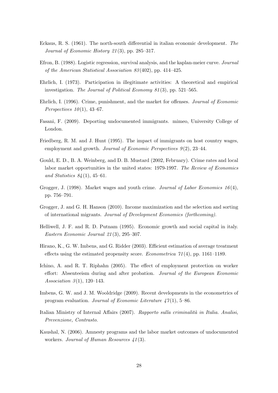- Eckaus, R. S. (1961). The north-south differential in italian economic development. The Journal of Economic History 21 (3), pp. 285–317.
- Efron, B. (1988). Logistic regression, survival analysis, and the kaplan-meier curve. Journal of the American Statistical Association 83 (402), pp. 414–425.
- Ehrlich, I. (1973). Participation in illegitimate activities: A theoretical and empirical investigation. The Journal of Political Economy 81 (3), pp. 521–565.
- Ehrlich, I. (1996). Crime, punishment, and the market for offenses. Journal of Economic Perspectives  $10(1)$ , 43-67.
- Fasani, F. (2009). Deporting undocumented immigrants. mimeo, University College of London.
- Friedberg, R. M. and J. Hunt (1995). The impact of immigrants on host country wages, employment and growth. Journal of Economic Perspectives  $9(2)$ , 23–44.
- Gould, E. D., B. A. Weinberg, and D. B. Mustard (2002, February). Crime rates and local labor market opportunities in the united states: 1979-1997. The Review of Economics and Statistics  $84(1)$ , 45–61.
- Grogger, J. (1998). Market wages and youth crime. Journal of Labor Economics 16(4), pp. 756–791.
- Grogger, J. and G. H. Hanson (2010). Income maximization and the selection and sorting of international migrants. Journal of Development Economics (forthcoming).
- Helliwell, J. F. and R. D. Putnam (1995). Economic growth and social capital in italy. Eastern Economic Journal 21 (3), 295–307.
- Hirano, K., G. W. Imbens, and G. Ridder (2003). Efficient estimation of average treatment effects using the estimated propensity score. *Econometrica*  $71(4)$ , pp. 1161–1189.
- Ichino, A. and R. T. Riphahn (2005). The effect of employment protection on worker effort: Absenteeism during and after probation. Journal of the European Economic Association  $3(1)$ , 120–143.
- Imbens, G. W. and J. M. Wooldridge (2009). Recent developments in the econometrics of program evaluation. Journal of Economic Literature  $47(1)$ , 5–86.
- Italian Ministry of Internal Affairs (2007). Rapporto sulla criminalità in Italia. Analisi, Prevenzione, Contrasto.
- Kaushal, N. (2006). Amnesty programs and the labor market outcomes of undocumented workers. Journal of Human Resources  $41(3)$ .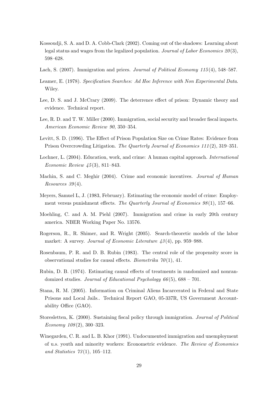- Kossoudji, S. A. and D. A. Cobb-Clark (2002). Coming out of the shadows: Learning about legal status and wages from the legalized population. Journal of Labor Economics  $20(3)$ , 598–628.
- Lach, S. (2007). Immigration and prices. *Journal of Political Economy 115* (4), 548–587.
- Leamer, E. (1978). Specification Searches: Ad Hoc Inference with Non Experimental Data. Wiley.
- Lee, D. S. and J. McCrary (2009). The deterrence effect of prison: Dynamic theory and evidence. Technical report.
- Lee, R. D. and T. W. Miller (2000). Immigration, social security and broader fiscal impacts. American Economic Review 90, 350–354.
- Levitt, S. D. (1996). The Effect of Prison Population Size on Crime Rates: Evidence from Prison Overcrowding Litigation. The Quarterly Journal of Economics 111 (2), 319–351.
- Lochner, L. (2004). Education, work, and crime: A human capital approach. *International* Economic Review 45 (3), 811–843.
- Machin, S. and C. Meghir (2004). Crime and economic incentives. Journal of Human Resources  $39(4)$ .
- Meyers, Samuel L, J. (1983, February). Estimating the economic model of crime: Employment versus punishment effects. The Quarterly Journal of Economics  $98(1)$ , 157–66.
- Moehling, C. and A. M. Piehl (2007). Immigration and crime in early 20th century america. NBER Working Paper No. 13576.
- Rogerson, R., R. Shimer, and R. Wright (2005). Search-theoretic models of the labor market: A survey. *Journal of Economic Literature 43(4)*, pp. 959–988.
- Rosenbaum, P. R. and D. B. Rubin (1983). The central role of the propensity score in observational studies for causal effects. Biometrika  $70(1)$ , 41.
- Rubin, D. B. (1974). Estimating causal effects of treatments in randomized and nonrandomized studies. Journal of Educational Psychology  $66(5)$ ,  $688 - 701$ .
- Stana, R. M. (2005). Information on Criminal Aliens Incarcerated in Federal and State Prisons and Local Jails.. Technical Report GAO, 05-337R, US Government Accountability Office (GAO).
- Storesletten, K. (2000). Sustaining fiscal policy through immigration. Journal of Political Economy  $108(2)$ , 300-323.
- Winegarden, C. R. and L. B. Khor (1991). Undocumented immigration and unemployment of u.s. youth and minority workers: Econometric evidence. The Review of Economics and Statistics  $73(1)$ , 105–112.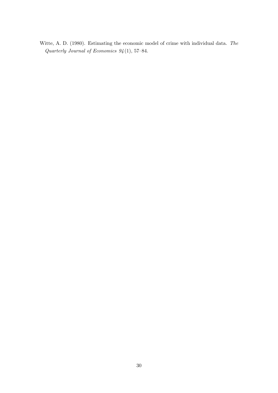Witte, A. D. (1980). Estimating the economic model of crime with individual data. The Quarterly Journal of Economics 94 (1), 57–84.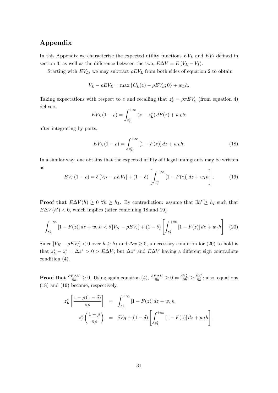# Appendix

In this Appendix we characterize the expected utility functions  $EV_L$  and  $EV_I$  defined in section 3, as well as the difference between the two,  $E\Delta V = E(V_L - V_I)$ .

Starting with  $EV_L$ , we may subtract  $\rho EV_L$  from both sides of equation 2 to obtain

$$
V_L - \rho EV_L = \max \left\{ C_L(z) - \rho EV_L; 0 \right\} + w_L h.
$$

Taking expectations with respect to z and recalling that  $z_k^* = \rho \pi E V_k$  (from equation 4) delivers

$$
EV_L (1 - \rho) = \int_{z_L^*}^{+\infty} (z - z_L^*) dF(z) + w_L h;
$$

after integrating by parts,

$$
EV_L (1 - \rho) = \int_{z_L^*}^{+\infty} [1 - F(z)] dz + w_L h; \qquad (18)
$$

In a similar way, one obtains that the expected utility of illegal immigrants may be written as

$$
EV_I(1-\rho) = \delta \left[ V_H - \rho EV_I \right] + (1-\delta) \left[ \int_{z_I^*}^{+\infty} \left[ 1 - F(z) \right] dz + w_I h \right]. \tag{19}
$$

**Proof that**  $E\Delta V(h) \geq 0$   $\forall h \geq h_I$ . By contradiction: assume that  $\exists h' \geq h_I$  such that  $E\Delta V(h') < 0$ , which implies (after combining 18 and 19)

$$
\int_{z_L^*}^{+\infty} \left[1 - F(z)\right] dz + w_L h < \delta \left[V_H - \rho E V_I\right] + (1 - \delta) \left[\int_{z_I^*}^{+\infty} \left[1 - F(z)\right] dz + w_I h\right] \tag{20}
$$

Since  $[V_H - \rho EV_I] < 0$  over  $h \geq h_I$  and  $\Delta w \geq 0$ , a necessary condition for (20) to hold is that  $z_L^* - z_I^* = \Delta z^* > 0 > E\Delta V$ ; but  $\Delta z^*$  and  $E\Delta V$  having a different sign contradicts condition (4).

**Proof that**  $\frac{\partial E \Delta V}{\partial h} \geq 0$ . Using again equation (4),  $\frac{\partial E \Delta V}{\partial h} \geq 0 \Leftrightarrow \frac{\partial z_L^*}{\partial h} \geq \frac{\partial z_L^*}{\partial h}$ ; also, equations (18) and (19) become, respectively,

$$
z_L^* \left[ \frac{1 - \rho(1 - \delta)}{\pi \rho} \right] = \int_{z_L^*}^{+\infty} [1 - F(z)] dz + w_L h
$$
  

$$
z_I^* \left( \frac{1 - \rho}{\pi \rho} \right) = \delta V_H + (1 - \delta) \left[ \int_{z_I^*}^{+\infty} [1 - F(z)] dz + w_I h \right].
$$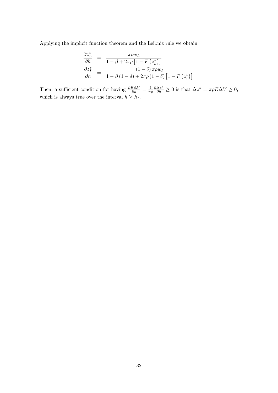Applying the implicit function theorem and the Leibniz rule we obtain

$$
\frac{\partial z_L^*}{\partial h} = \frac{\pi \rho w_L}{1 - \beta + 2\pi \rho \left[1 - F\left(z_L^*\right)\right]}
$$

$$
\frac{\partial z_I^*}{\partial h} = \frac{\left(1 - \delta\right) \pi \rho w_I}{1 - \beta \left(1 - \delta\right) + 2\pi \rho \left(1 - \delta\right) \left[1 - F\left(z_I^*\right)\right]}.
$$

Then, a sufficient condition for having  $\frac{\partial E \Delta V}{\partial h} = \frac{1}{\pi \rho}$ πρ  $\frac{\partial \Delta z^*}{\partial h} \geq 0$  is that  $\Delta z^* = \pi \rho E \Delta V \geq 0$ , which is always true over the interval  $h \geq h_I$ .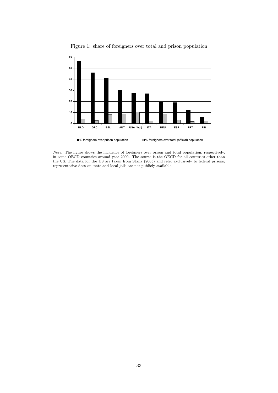

Figure 1: share of foreigners over total and prison population

■% foreigners over prison population ■ % foreigners over total (official) population

Note: The figure shows the incidence of foreigners over prison and total population, respectively, in some OECD countries around year 2000. The source is the OECD for all countries other than the US. The data for the US are taken from Stana (2005) and refer exclusively to federal prisons; representative data on state and local jails are not publicly available.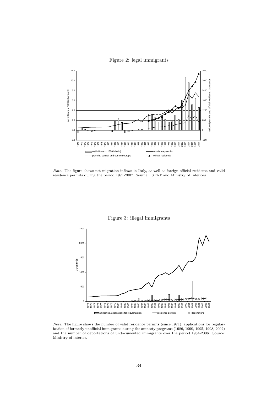

Figure 2: legal immigrants

Note: The figure shows net migration inflows in Italy, as well as foreign official residents and valid residence permits during the period 1971-2007. Source: ISTAT and Ministry of Interiors.



Figure 3: illegal immigrants

Note: The figure shows the number of valid residence permits (since 1971), applications for regularization of formerly unofficial immigrants during the amnesty programs (1986, 1990, 1995, 1998, 2002) and the number of deportations of undocumented immigrants over the period 1984-2006. Source: Ministry of interior.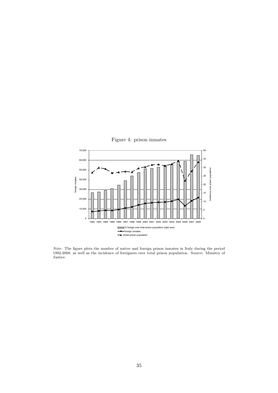

Note: The figure plots the number of native and foreign prison inmates in Italy during the period 1992-2008, as well as the incidence of foreigners over total prison population. Source: Ministry of Justice.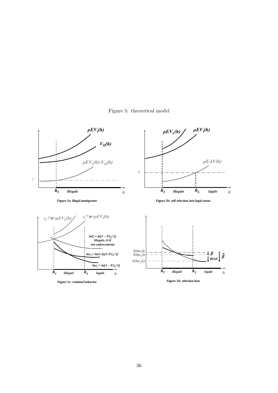

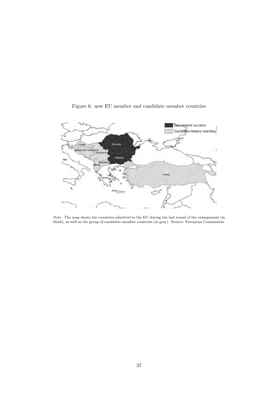

Figure 6: new EU member and candidate member countries

Note: The map shows the countries admitted to the EU during the last round of the enlargement (in black), as well as the group of candidate member countries (in gray). Source: European Commission.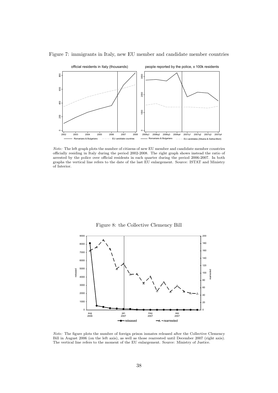

Figure 7: immigrants in Italy, new EU member and candidate member countries

Note: The left graph plots the number of citizens of new EU member and candidate member countries officially residing in Italy during the period 2002-2008. The right graph shows instead the ratio of arrested by the police over official residents in each quarter during the period 2006-2007. In both graphs the vertical line refers to the date of the last EU enlargement. Source: ISTAT and Ministry of Interior.



Figure 8: the Collective Clemency Bill

Note: The figure plots the number of foreign prison inmates released after the Collective Clemency Bill in August 2006 (on the left axis), as well as those rearrested until December 2007 (right axis). The vertical line refers to the moment of the EU enlargement. Source: Ministry of Justice.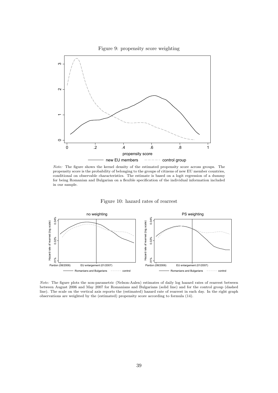



Note: The figure shows the kernel density of the estimated propensity score across groups. The propensity score is the probability of belonging to the groups of citizens of new EU member countries, conditional on observable characteristics. The estimate is based on a logit regression of a dummy for being Romanian and Bulgarian on a flexible specification of the individual information included in our sample.





Note: The figure plots the non-parametric (Nelson-Aalen) estimates of daily log hazard rates of rearrest between between August 2006 and May 2007 for Romanians and Bulgarians (solid line) and for the control group (dashed line). The scale on the vertical axis reports the (estimated) hazard rate of rearrest in each day. In the right graph observations are weighted by the (estimated) propensity score according to formula (14).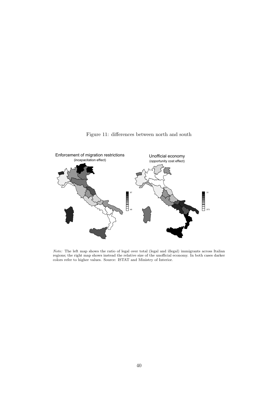

Figure 11: differences between north and south

Note: The left map shows the ratio of legal over total (legal and illegal) immigrants across Italian regions; the right map shows instead the relative size of the unofficial economy. In both cases darker colors refer to higher values. Source: ISTAT and Ministry of Interior.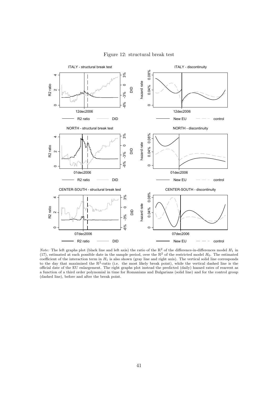

# Figure 12: structural break test

*Note:* The left graphs plot (black line and left axis) the ratio of the  $\mathbb{R}^2$  of the difference-in-differences model  $H_1$  in (17), estimated at each possible date in the sample period, over the  $R^2$  of the restricted model  $H_0$ . The estimated coefficient of the interaction term in  $H_1$  is also shown (gray line and right axis). The vertical solid line corresponds to the day that maximized the  $R^2$ -ratio (i.e. the most likely break point), while the vertical dashed line is the official date of the EU enlargement. The right graphs plot instead the predicted (daily) hazard rates of rearrest as a function of a third order polynomial in time for Romanians and Bulgarians (solid line) and for the control group (dashed line), before and after the break point.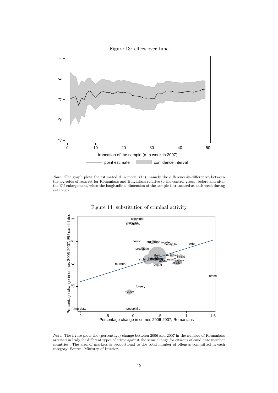

*Note:* The graph plots the estimated  $\beta$  in model (15), namely the difference-in-differences between the log-odds of rearrest for Romanians and Bulgarians relative to the control group, before and after the EU enlargement, when the longitudinal dimension of the sample is truncated at each week during year 2007.



Note: The figure plots the (percentage) change between 2006 and 2007 in the number of Romanians arrested in Italy for different types of crime against the same change for citizens of candidate member countries. The area of markers is proportional to the total number of offenses committed in each category. Source: Ministry of Interior.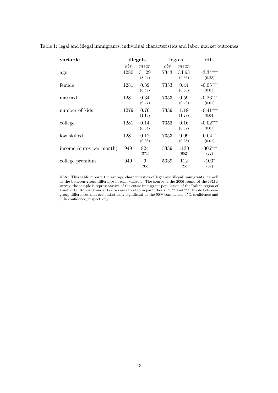| variable                 |      | illegals        |                  | legals          | diff.                |
|--------------------------|------|-----------------|------------------|-----------------|----------------------|
|                          | obs  | mean            | $\overline{obs}$ | mean            |                      |
| age                      | 1280 | 31.29<br>(8.94) | 7343             | 34.63<br>(9.36) | $-3.34***$<br>(0.28) |
| female                   | 1281 | 0.39<br>(0.49)  | 7353             | 0.44<br>(0.50)  | $-0.05***$<br>(0.01) |
| married                  | 1281 | 0.34<br>(0.47)  | 7353             | 0.59<br>(0.49)  | $-0.26***$<br>(0.01) |
| number of kids           | 1279 | 0.76<br>(1.19)  | 7339             | 1.18<br>(1.28)  | $-0.41***$<br>(0.04) |
| college                  | 1281 | 0.14<br>(0.34)  | 7353             | 0.16<br>(0.37)  | $-0.02***$<br>(0.01) |
| low skilled              | 1281 | 0.12<br>(0.33)  | 7353             | 0.09<br>(0.28)  | $0.04**$<br>(0.01)   |
| income (euros per month) | 949  | 824<br>(371)    | 5339             | 1130<br>(652)   | $-306***$<br>(22)    |
| college premium          | 949  | 9<br>(35)       | 5339             | 112<br>(25)     | $-103*$<br>(62)      |

Table 1: legal and illegal immigrants, individual characteristics and labor market outcomes

Note: This table reports the average characteristics of legal and illegal immigrants, as well as the between-group difference in each variable. The source is the 2006 round of the ISMU survey, the sample is representative of the entire immigrant population of the Italian region of Lombardy. Robust standard errors are reported in parenthesis. <sup>∗</sup>, ∗∗ and ∗∗∗ denote betweengroup differences that are statistically significant at the 90% confidence, 95% confidence and 99% confidence, respectively.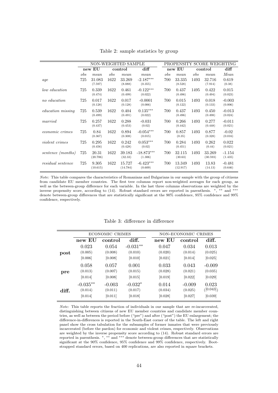|                          | NON-WEIGHTED SAMPLE |                   |          |                    | PROPENSITY SCORE WEIGHTING |          |                    |          |                    |                     |
|--------------------------|---------------------|-------------------|----------|--------------------|----------------------------|----------|--------------------|----------|--------------------|---------------------|
|                          |                     | new EU            | control  |                    | diff                       | new EU   |                    | control  |                    | diff                |
|                          | obs                 | mean              | $_{obs}$ | mean               | mean                       | $_{obs}$ | mean               | $_{obs}$ | mean               | Mean                |
| age                      | 725                 | 31.083<br>(7.597) | 1622     | 33.269<br>(8.088)  | $-2.187***$<br>(0.355)     | 700      | 33.335<br>(8.528)  | 1493     | 32.716<br>(7.914)  | 0.619<br>(0.38)     |
| low education            | 725                 | 0.339<br>(0.474)  | 1622     | 0.461<br>(0.499)   | $-0.122***$<br>(0.022)     | 700      | 0.437<br>(0.496)   | 1495     | 0.422<br>(0.494)   | 0.015<br>(0.023)    |
| no education             | 725                 | 0.017<br>(0.128)  | 1622     | 0.017<br>(0.128)   | $-0.0001$<br>(0.006)       | 700      | 0.015<br>(0.122)   | 1493     | 0.018<br>(0.133)   | $-0.003$<br>(0.006) |
| <i>education missing</i> | 725                 | 0.539<br>(0.499)  | 1622     | 0.404<br>(0.491)   | $0.135***$<br>(0.022)      | 700      | 0.437<br>(0.496)   | 1493     | 0.450<br>(0.498)   | $-0.013$<br>(0.024) |
| married                  | 725                 | 0.257<br>(0.437)  | 1622     | 0.288<br>(0.453)   | $-0.031$<br>(0.02)         | 700      | 0.266<br>(0.442)   | 1493     | 0.277<br>(0.448)   | $-0.011$<br>(0.021) |
| economic crimes          | 725                 | 0.84<br>(0.367)   | 1622     | 0.894<br>(0.308)   | $-0.054***$<br>(0.015)     | 700      | 0.857<br>(0.35)    | 1493     | 0.877<br>(0.328)   | $-0.02$<br>(0.016)  |
| <i>violent crimes</i>    | 725                 | 0.295<br>(0.456)  | 1622     | 0.242<br>(0.428)   | $0.053***$<br>(0.02)       | 700      | 0.284<br>(0.451)   | 1493     | 0.262<br>(0.44)    | 0.022<br>(0.021)    |
| sentence (months)        | 725                 | 20.31<br>(20.706) | 1622     | 39.183<br>(32.33)  | $-18.873***$<br>(1.306)    | 700      | 32.115<br>(30.63)  | 1493     | 33.269<br>(30.593) | $-1.154$<br>(1.435) |
| <i>residual sentence</i> | 725                 | 9.305<br>(10.615) | 1622     | 15.727<br>(14.784) | $-6.423***$<br>(0.609)     | 700      | 13.349<br>(12.917) | 1493     | 13.83<br>(14.13)   | $-0.481$<br>(0.646) |

Table 2: sample statistics by group

Note: This table compares the characteristics of Romanians and Bulgarians in our sample with the group of citizens from candidate EU member countries. The first tree columns report non-weighted averages for each group, as well as the between-group difference for each variable. In the last three columns observations are weighted by the inverse propensity score, according to (14). Robust standard errors are reported in parenthesis.  $\ast$ ,  $\ast$  and  $\ast$ denote between-group differences that are statistically significant at the 90% confidence, 95% confidence and 99% confidence, respectively.

| Table 3: difference in difference |
|-----------------------------------|
|-----------------------------------|

|       |            | <b>ECONOMIC CRIMES</b> |            | NON-ECONOMIC CRIMES |          |           |  |  |  |
|-------|------------|------------------------|------------|---------------------|----------|-----------|--|--|--|
|       | new EU     | control                | diff.      | new EU              | control  | diff.     |  |  |  |
|       | 0.023      | 0.054                  | $-0.031**$ | 0.047               | 0.034    | 0.013     |  |  |  |
| post  | (0.005)    | (0.008)                | (0.010)    | (0.020)             | (0.014)  | (0.025)   |  |  |  |
|       | [0.006]    | [0.008]                | [0.010]    | [0.021]             | [0.014]  | [0.025]   |  |  |  |
|       | 0.058      | 0.057                  | 0.001      | 0.033               | 0.043    | $-0.009$  |  |  |  |
| pre   | (0.013)    | (0.007)                | (0.015)    | (0.028)             | (0.021)  | (0.035)   |  |  |  |
|       | [0.014]    | [0.008]                | [0.015]    | [0.019]             | [0.022]  | [0.029]   |  |  |  |
|       | $-0.035**$ | $-0.003$               | $-0.032*$  | 0.014               | $-0.009$ | 0.023     |  |  |  |
| diff. | (0.014)    | (0.011)                | (0.017)    | (0.034)             | (0.025)  | ([0.043]) |  |  |  |
|       | [0.014]    | [0.011]                | [0.018]    | [0.028]             | [0.027]  | [0.039]   |  |  |  |

Note: This table reports the fraction of individuals in our sample that are re-incarcerated, distinguishing between citizens of new EU member countries and candidate member countries, as well as between the period before ("pre") and after ("post") the EU enlargement; the difference-in-differences is reported in the South-East corner of the table. The left and right panel show the cross tabulation for the subsamples of former inmates that were previously incarcerated (before the pardon) for economic and violent crimes, respectively. Observations are weighted by the inverse propensity score according to (14). Robust standard errors are reported in parenthesis. <sup>∗</sup>, ∗∗ and ∗∗∗ denote between-group differences that are statistically significant at the 90% confidence, 95% confidence and 99% confidence, respectively. Bootstrapped standard errors, based on 400 replications, are also reported in square brackets.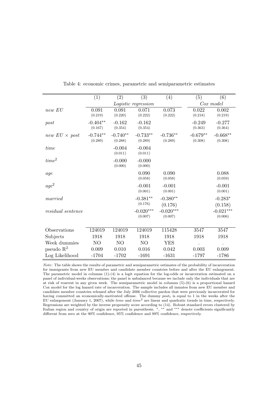|                          | (1)                   | (2)                   | (3)                    | (4)                    | (5)                   | (6)                    |  |
|--------------------------|-----------------------|-----------------------|------------------------|------------------------|-----------------------|------------------------|--|
|                          |                       |                       | Logistic regression    |                        |                       | $Cox$ model            |  |
| $new\ EU$                | 0.091<br>(0.219)      | 0.091<br>(0.220)      | 0.071<br>(0.222)       | 0.073<br>(0.222)       | 0.022<br>(0.218)      | $0.002\,$<br>(0.219)   |  |
| post                     | $-0.404**$<br>(0.167) | $-0.162$<br>(0.354)   | $-0.162$<br>(0.354)    |                        | $-0.249$<br>(0.363)   | $-0.277$<br>(0.364)    |  |
| new $EU \times post$     | $-0.744**$<br>(0.289) | $-0.740**$<br>(0.288) | $-0.733**$<br>(0.289)  | $-0.736**$<br>(0.289)  | $-0.679**$<br>(0.308) | $-0.668**$<br>(0.308)  |  |
| time                     |                       | $-0.004$<br>(0.011)   | $-0.004$<br>(0.011)    |                        |                       |                        |  |
| time <sup>2</sup>        |                       | $-0.000$<br>(0.000)   | $-0.000$<br>(0.000)    |                        |                       |                        |  |
| age                      |                       |                       | 0.090<br>(0.058)       | 0.090<br>(0.058)       |                       | 0.088<br>(0.059)       |  |
| age <sup>2</sup>         |                       |                       | $-0.001$<br>(0.001)    | $-0.001$<br>(0.001)    |                       | $-0.001$<br>(0.001)    |  |
| married                  |                       |                       | $-0.381**$<br>(0.176)  | $-0.380**$<br>(0.176)  |                       | $-0.283*$<br>(0.158)   |  |
| <i>residual sentence</i> |                       |                       | $-0.020***$<br>(0.007) | $-0.020***$<br>(0.007) |                       | $-0.021***$<br>(0.006) |  |
| Observations             | 124019                | 124019                | 124019                 | 115428                 | 3547                  | 3547                   |  |
| Subjects                 | 1918                  | 1918                  | 1918                   | 1918                   | 1918                  | 1918                   |  |
| Week dummies             | N <sub>O</sub>        | N <sub>O</sub>        | N <sub>O</sub>         | <b>YES</b>             |                       |                        |  |
| pseudo $R^2$             | 0.009                 | 0.010                 | 0.016                  | 0.042                  | 0.003                 | $0.009\,$              |  |
| Log Likelihood           | $-1704$               | $-1702$               | $-1691$                | $-1631$                | $-1797$               | $-1786$                |  |

Table 4: economic crimes, parametric and semiparametric estimates

Note: The table shows the results of parametric and semiparametric estimates of the probability of incarceration for immigrants from new EU member and candidate member countries before and after the EU enlargement. The parametric model in columns (1)-(4) is a logit equation for the log-odds or incarceration estimated on a panel of individual-weeks observations; the panel is unbalanced because we include only the individuals that are at risk of rearrest in any given week. The semiparametric model in columns (5)-(6) is a proportional hazard Cox model for the log hazard rate of incarceration. The sample includes all inmates from new EU member and candidate member countries released after the July 2006 collective pardon that were previously incarcerated for having committed an economically-motivated offense. The dummy  $post_t$  is equal to 1 in the weeks after the EU enlargement (January 1, 2007), while *time* and  $time^2$  are linear and quadratic trends in time, respectively. Regressions are weighted by the inverse propensity score according to (14). Robust standard errors clustered by Italian region and country of origin are reported in parenthesis. <sup>∗</sup>, ∗∗ and ∗∗∗ denote coefficients significantly different from zero at the 90% confidence, 95% confidence and 99% confidence, respectively.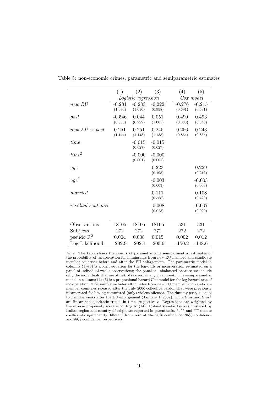|                          | (1)      | $\left( 2\right)$   | (3)      | (4)      | (5)           |
|--------------------------|----------|---------------------|----------|----------|---------------|
|                          |          | Logistic regression |          |          | $Cox \ model$ |
| new EU                   | $-0.281$ | $-0.283$            | $-0.222$ | $-0.276$ | $-0.215$      |
|                          | (1.030)  | (1.030)             | (0.998)  | (0.691)  | (0.691)       |
| post                     | $-0.546$ | 0.044               | 0.051    | 0.490    | 0.493         |
|                          | (0.585)  | (0.999)             | (1.005)  | (0.838)  | (0.845)       |
| new $EU \times post$     | 0.251    | 0.251               | 0.245    | 0.256    | 0.243         |
|                          | (1.144)  | (1.143)             | (1.138)  | (0.864)  | (0.865)       |
| time                     |          | $-0.015$            | $-0.015$ |          |               |
|                          |          | (0.027)             | (0.027)  |          |               |
| time <sup>2</sup>        |          | $-0.000$            | $-0.000$ |          |               |
|                          |          | (0.001)             | (0.001)  |          |               |
| age                      |          |                     | 0.223    |          | 0.229         |
|                          |          |                     | (0.193)  |          | (0.212)       |
| age <sup>2</sup>         |          |                     | $-0.003$ |          | $-0.003$      |
|                          |          |                     | (0.003)  |          | (0.003)       |
| married                  |          |                     | 0.111    |          | 0.108         |
|                          |          |                     | (0.588)  |          | (0.420)       |
| <i>residual sentence</i> |          |                     | $-0.008$ |          | $-0.007$      |
|                          |          |                     | (0.023)  |          | (0.020)       |
|                          |          |                     |          |          |               |
| Observations             | 18105    | 18105               | 18105    | 531      | 531           |
| Subjects                 | 272      | 272                 | 272      | 272      | 272           |
| pseudo $R^2$             | 0.004    | 0.008               | 0.015    | 0.002    | 0.012         |
| Log Likelihood           | $-202.9$ | $-202.1$            | $-200.6$ | $-150.2$ | $-148.6$      |

Table 5: non-economic crimes, parametric and semiparametric estimates

Note: The table shows the results of parametric and semiparametric estimates of the probability of incarceration for immigrants from new EU member and candidate member countries before and after the EU enlargement. The parametric model in columns (1)-(3) is a logit equation for the log-odds or incarceration estimated on a panel of individual-weeks observations; the panel is unbalanced because we include only the individuals that are at risk of rearrest in any given week. The semiparametric model in columns (4)-(5) is a proportional hazard Cox model for the log hazard rate of incarceration. The sample includes all inmates from new EU member and candidate member countries released after the July 2006 collective pardon that were previously incarcerated for having committed (only) violent offenses. The dummy  $post_t$  is equal to 1 in the weeks after the EU enlargement (January 1, 2007), while time and time<sup>2</sup> are linear and quadratic trends in time, respectively. Regressions are weighted by the inverse propensity score according to (14). Robust standard errors clustered by Italian region and country of origin are reported in parenthesis. <sup>∗</sup>, ∗∗ and ∗∗∗ denote coefficients significantly different from zero at the 90% confidence, 95% confidence and 99% confidence, respectively.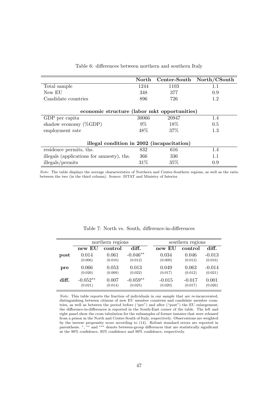|                                              | North |        | Center-South North/CSouth |  |  |  |  |  |  |
|----------------------------------------------|-------|--------|---------------------------|--|--|--|--|--|--|
| Total sample                                 | 1244  | 1103   | 1.1                       |  |  |  |  |  |  |
| New EU                                       | 348   | 377    | 0.9                       |  |  |  |  |  |  |
| Candidate countries                          | 896   | 726    | 1.2                       |  |  |  |  |  |  |
|                                              |       |        |                           |  |  |  |  |  |  |
| economic structure (labor mkt opportunities) |       |        |                           |  |  |  |  |  |  |
| GDP per capita                               | 30066 | 20947  | 1.4                       |  |  |  |  |  |  |
| shadow economy $(\%GDP)$                     | $9\%$ | 18\%   | 0.5                       |  |  |  |  |  |  |
| employment rate                              | 48\%  | $37\%$ | 1.3                       |  |  |  |  |  |  |
|                                              |       |        |                           |  |  |  |  |  |  |
| illegal condition in 2002 (incapacitation)   |       |        |                           |  |  |  |  |  |  |
| residence permits, ths.                      | 832   | 616    | 1.4                       |  |  |  |  |  |  |
| illegals (applications for amnesty), ths.    | 366   | 336    | 1.1                       |  |  |  |  |  |  |
| illegals/permits                             | 31\%  | 35%    | 0.9                       |  |  |  |  |  |  |

Table 6: differences between northern and southern Italy

Note: The table displays the average characteristics of Northern and Center-Southern regions, as well as the ratio between the two (in the third column). Source: ISTAT and Ministry of Interior.

|       |            | northern regions |            |          | southern regions |          |  |  |  |
|-------|------------|------------------|------------|----------|------------------|----------|--|--|--|
|       | new EU     | control          | diff.      | new EU   | control          | diff.    |  |  |  |
| post  | 0.014      | 0.061            | $-0.046**$ | 0.034    | 0.046            | $-0.013$ |  |  |  |
|       | (0.006)    | (0.010)          | (0.012)    | (0.009)  | (0.013)          | (0.016)  |  |  |  |
| pre   | 0.066      | 0.053            | 0.013      | 0.049    | 0.063            | $-0.014$ |  |  |  |
|       | (0.020)    | (0.009)          | (0.022)    | (0.017)  | (0.012)          | (0.021)  |  |  |  |
| diff. | $-0.052**$ | 0.007            | $-0.059**$ | $-0.015$ | $-0.017$         | 0.001    |  |  |  |
|       | (0.021)    | (0.014)          | (0.025)    | (0.020)  | (0.017)          | (0.026)  |  |  |  |

Table 7: North vs. South, difference-in-differences

Note: This table reports the fraction of individuals in our sample that are re-incarcerated, distinguishing between citizens of new EU member countries and candidate member countries, as well as between the period before ("pre") and after ("post") the EU enlargement; the difference-in-differences is reported in the South-East corner of the table. The left and right panel show the cross tabulation for the subsamples of former inmates that were released from a prison in the North and Center-South of Italy, respectively. Observations are weighted by the inverse propensity score according to (14). Robust standard errors are reported in parenthesis.  $*, **$  and \*\*\* denote between-group differences that are statistically significant at the 90% confidence, 95% confidence and 99% confidence, respectively.